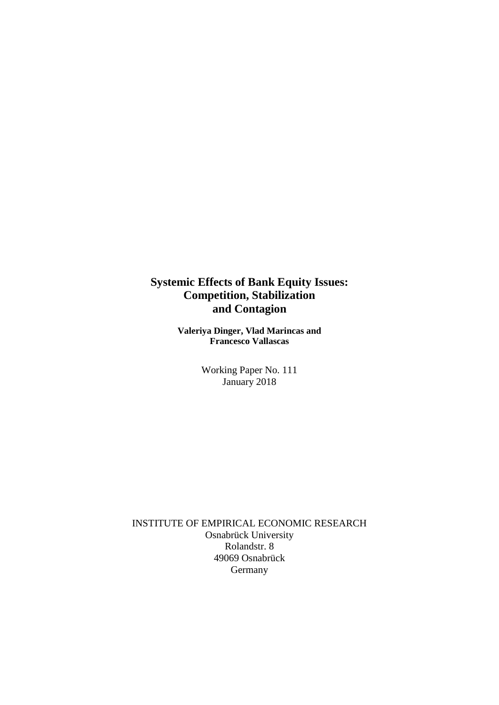## **Systemic Effects of Bank Equity Issues: Competition, Stabilization and Contagion**

**Valeriya Dinger, Vlad Marincas and Francesco Vallascas**

> Working Paper No. 111 January 2018

INSTITUTE OF EMPIRICAL ECONOMIC RESEARCH Osnabrück University Rolandstr. 8 49069 Osnabrück Germany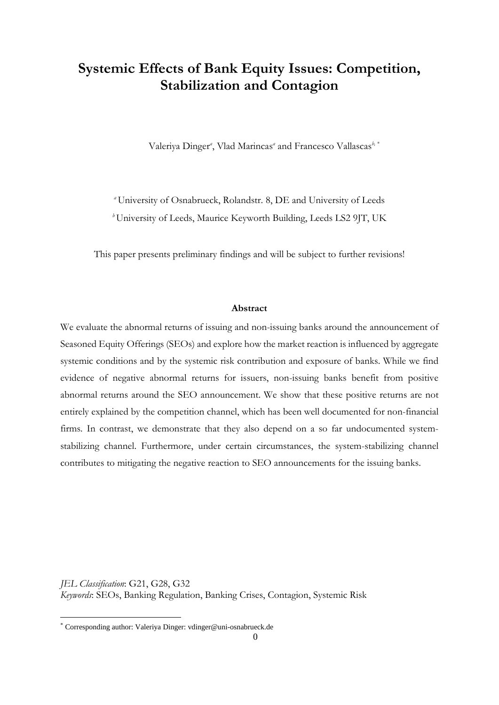# **Systemic Effects of Bank Equity Issues: Competition, Stabilization and Contagion**

Valeriya Dinger*<sup>a</sup>* , Vlad Marincas*<sup>a</sup>* and Francesco Vallascas*b,* [\\*](#page-1-0)

*<sup>a</sup>*University of Osnabrueck, Rolandstr. 8, DE and University of Leeds <sup>*b*</sup>University of Leeds, Maurice Keyworth Building, Leeds LS2 9JT, UK

This paper presents preliminary findings and will be subject to further revisions!

#### **Abstract**

We evaluate the abnormal returns of issuing and non-issuing banks around the announcement of Seasoned Equity Offerings (SEOs) and explore how the market reaction is influenced by aggregate systemic conditions and by the systemic risk contribution and exposure of banks. While we find evidence of negative abnormal returns for issuers, non-issuing banks benefit from positive abnormal returns around the SEO announcement. We show that these positive returns are not entirely explained by the competition channel, which has been well documented for non-financial firms. In contrast, we demonstrate that they also depend on a so far undocumented systemstabilizing channel. Furthermore, under certain circumstances, the system-stabilizing channel contributes to mitigating the negative reaction to SEO announcements for the issuing banks.

*JEL Classification*: G21, G28, G32 *Keywords*: SEOs, Banking Regulation, Banking Crises, Contagion, Systemic Risk

**.** 

<span id="page-1-0"></span><sup>\*</sup> Corresponding author: Valeriya Dinger: vdinger@uni-osnabrueck.de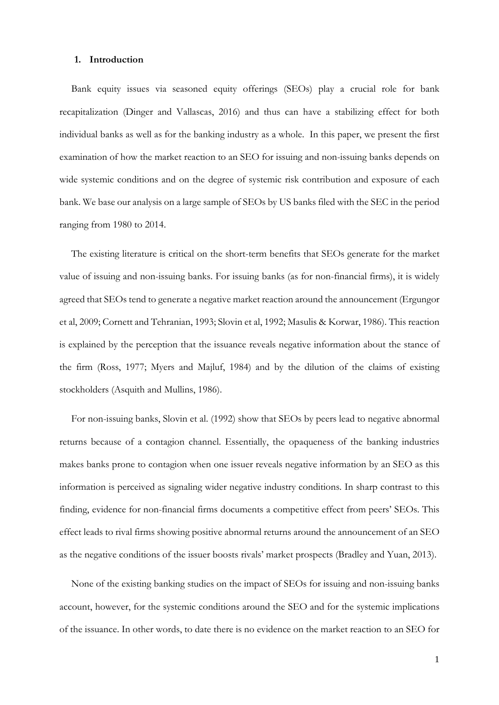#### **1. Introduction**

Bank equity issues via seasoned equity offerings (SEOs) play a crucial role for bank recapitalization (Dinger and Vallascas, 2016) and thus can have a stabilizing effect for both individual banks as well as for the banking industry as a whole. In this paper, we present the first examination of how the market reaction to an SEO for issuing and non-issuing banks depends on wide systemic conditions and on the degree of systemic risk contribution and exposure of each bank. We base our analysis on a large sample of SEOs by US banks filed with the SEC in the period ranging from 1980 to 2014.

The existing literature is critical on the short-term benefits that SEOs generate for the market value of issuing and non-issuing banks. For issuing banks (as for non-financial firms), it is widely agreed that SEOs tend to generate a negative market reaction around the announcement (Ergungor et al, 2009; Cornett and Tehranian, 1993; Slovin et al, 1992; Masulis & Korwar, 1986). This reaction is explained by the perception that the issuance reveals negative information about the stance of the firm (Ross, 1977; Myers and Majluf, 1984) and by the dilution of the claims of existing stockholders (Asquith and Mullins, 1986).

For non-issuing banks, Slovin et al. (1992) show that SEOs by peers lead to negative abnormal returns because of a contagion channel. Essentially, the opaqueness of the banking industries makes banks prone to contagion when one issuer reveals negative information by an SEO as this information is perceived as signaling wider negative industry conditions. In sharp contrast to this finding, evidence for non-financial firms documents a competitive effect from peers' SEOs. This effect leads to rival firms showing positive abnormal returns around the announcement of an SEO as the negative conditions of the issuer boosts rivals' market prospects (Bradley and Yuan, 2013).

None of the existing banking studies on the impact of SEOs for issuing and non-issuing banks account, however, for the systemic conditions around the SEO and for the systemic implications of the issuance. In other words, to date there is no evidence on the market reaction to an SEO for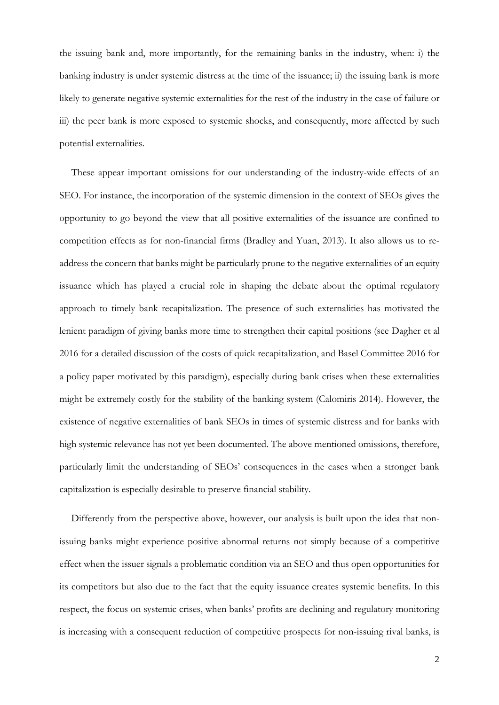the issuing bank and, more importantly, for the remaining banks in the industry, when: i) the banking industry is under systemic distress at the time of the issuance; ii) the issuing bank is more likely to generate negative systemic externalities for the rest of the industry in the case of failure or iii) the peer bank is more exposed to systemic shocks, and consequently, more affected by such potential externalities.

These appear important omissions for our understanding of the industry-wide effects of an SEO. For instance, the incorporation of the systemic dimension in the context of SEOs gives the opportunity to go beyond the view that all positive externalities of the issuance are confined to competition effects as for non-financial firms (Bradley and Yuan, 2013). It also allows us to readdress the concern that banks might be particularly prone to the negative externalities of an equity issuance which has played a crucial role in shaping the debate about the optimal regulatory approach to timely bank recapitalization. The presence of such externalities has motivated the lenient paradigm of giving banks more time to strengthen their capital positions (see Dagher et al 2016 for a detailed discussion of the costs of quick recapitalization, and Basel Committee 2016 for a policy paper motivated by this paradigm), especially during bank crises when these externalities might be extremely costly for the stability of the banking system (Calomiris 2014). However, the existence of negative externalities of bank SEOs in times of systemic distress and for banks with high systemic relevance has not yet been documented. The above mentioned omissions, therefore, particularly limit the understanding of SEOs' consequences in the cases when a stronger bank capitalization is especially desirable to preserve financial stability.

Differently from the perspective above, however, our analysis is built upon the idea that nonissuing banks might experience positive abnormal returns not simply because of a competitive effect when the issuer signals a problematic condition via an SEO and thus open opportunities for its competitors but also due to the fact that the equity issuance creates systemic benefits. In this respect, the focus on systemic crises, when banks' profits are declining and regulatory monitoring is increasing with a consequent reduction of competitive prospects for non-issuing rival banks, is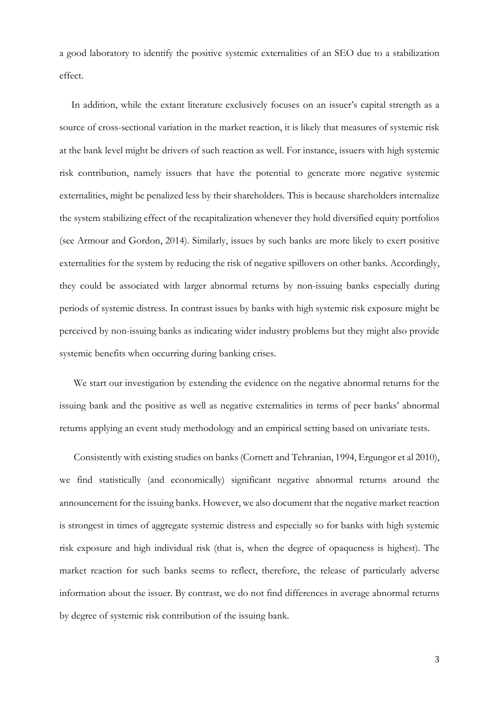a good laboratory to identify the positive systemic externalities of an SEO due to a stabilization effect.

In addition, while the extant literature exclusively focuses on an issuer's capital strength as a source of cross-sectional variation in the market reaction, it is likely that measures of systemic risk at the bank level might be drivers of such reaction as well. For instance, issuers with high systemic risk contribution, namely issuers that have the potential to generate more negative systemic externalities, might be penalized less by their shareholders. This is because shareholders internalize the system stabilizing effect of the recapitalization whenever they hold diversified equity portfolios (see Armour and Gordon, 2014). Similarly, issues by such banks are more likely to exert positive externalities for the system by reducing the risk of negative spillovers on other banks. Accordingly, they could be associated with larger abnormal returns by non-issuing banks especially during periods of systemic distress. In contrast issues by banks with high systemic risk exposure might be perceived by non-issuing banks as indicating wider industry problems but they might also provide systemic benefits when occurring during banking crises.

We start our investigation by extending the evidence on the negative abnormal returns for the issuing bank and the positive as well as negative externalities in terms of peer banks' abnormal returns applying an event study methodology and an empirical setting based on univariate tests.

Consistently with existing studies on banks (Cornett and Tehranian, 1994, Ergungor et al 2010), we find statistically (and economically) significant negative abnormal returns around the announcement for the issuing banks. However, we also document that the negative market reaction is strongest in times of aggregate systemic distress and especially so for banks with high systemic risk exposure and high individual risk (that is, when the degree of opaqueness is highest). The market reaction for such banks seems to reflect, therefore, the release of particularly adverse information about the issuer. By contrast, we do not find differences in average abnormal returns by degree of systemic risk contribution of the issuing bank.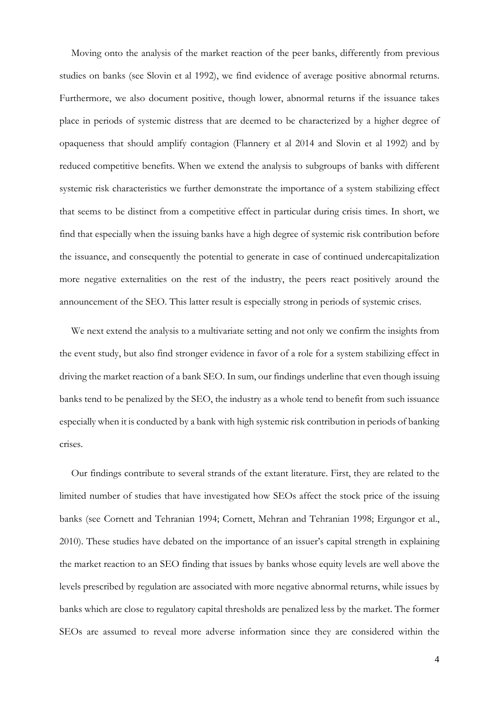Moving onto the analysis of the market reaction of the peer banks, differently from previous studies on banks (see Slovin et al 1992), we find evidence of average positive abnormal returns. Furthermore, we also document positive, though lower, abnormal returns if the issuance takes place in periods of systemic distress that are deemed to be characterized by a higher degree of opaqueness that should amplify contagion (Flannery et al 2014 and Slovin et al 1992) and by reduced competitive benefits. When we extend the analysis to subgroups of banks with different systemic risk characteristics we further demonstrate the importance of a system stabilizing effect that seems to be distinct from a competitive effect in particular during crisis times. In short, we find that especially when the issuing banks have a high degree of systemic risk contribution before the issuance, and consequently the potential to generate in case of continued undercapitalization more negative externalities on the rest of the industry, the peers react positively around the announcement of the SEO. This latter result is especially strong in periods of systemic crises.

We next extend the analysis to a multivariate setting and not only we confirm the insights from the event study, but also find stronger evidence in favor of a role for a system stabilizing effect in driving the market reaction of a bank SEO. In sum, our findings underline that even though issuing banks tend to be penalized by the SEO, the industry as a whole tend to benefit from such issuance especially when it is conducted by a bank with high systemic risk contribution in periods of banking crises.

Our findings contribute to several strands of the extant literature. First, they are related to the limited number of studies that have investigated how SEOs affect the stock price of the issuing banks (see Cornett and Tehranian 1994; Cornett, Mehran and Tehranian 1998; Ergungor et al., 2010). These studies have debated on the importance of an issuer's capital strength in explaining the market reaction to an SEO finding that issues by banks whose equity levels are well above the levels prescribed by regulation are associated with more negative abnormal returns, while issues by banks which are close to regulatory capital thresholds are penalized less by the market. The former SEOs are assumed to reveal more adverse information since they are considered within the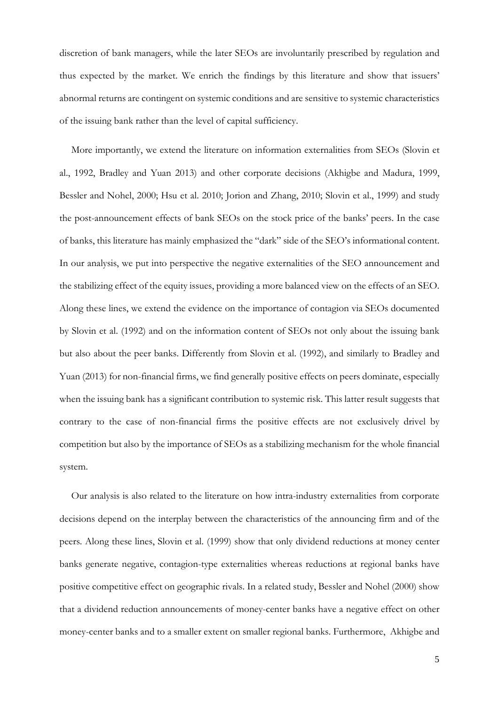discretion of bank managers, while the later SEOs are involuntarily prescribed by regulation and thus expected by the market. We enrich the findings by this literature and show that issuers' abnormal returns are contingent on systemic conditions and are sensitive to systemic characteristics of the issuing bank rather than the level of capital sufficiency.

More importantly, we extend the literature on information externalities from SEOs (Slovin et al., 1992, Bradley and Yuan 2013) and other corporate decisions (Akhigbe and Madura, 1999, Bessler and Nohel, 2000; Hsu et al. 2010; Jorion and Zhang, 2010; Slovin et al., 1999) and study the post-announcement effects of bank SEOs on the stock price of the banks' peers. In the case of banks, this literature has mainly emphasized the "dark" side of the SEO's informational content. In our analysis, we put into perspective the negative externalities of the SEO announcement and the stabilizing effect of the equity issues, providing a more balanced view on the effects of an SEO. Along these lines, we extend the evidence on the importance of contagion via SEOs documented by Slovin et al. (1992) and on the information content of SEOs not only about the issuing bank but also about the peer banks. Differently from Slovin et al. (1992), and similarly to Bradley and Yuan (2013) for non-financial firms, we find generally positive effects on peers dominate, especially when the issuing bank has a significant contribution to systemic risk. This latter result suggests that contrary to the case of non-financial firms the positive effects are not exclusively drivel by competition but also by the importance of SEOs as a stabilizing mechanism for the whole financial system.

Our analysis is also related to the literature on how intra-industry externalities from corporate decisions depend on the interplay between the characteristics of the announcing firm and of the peers. Along these lines, Slovin et al. (1999) show that only dividend reductions at money center banks generate negative, contagion-type externalities whereas reductions at regional banks have positive competitive effect on geographic rivals. In a related study, Bessler and Nohel (2000) show that a dividend reduction announcements of money-center banks have a negative effect on other money-center banks and to a smaller extent on smaller regional banks. Furthermore, Akhigbe and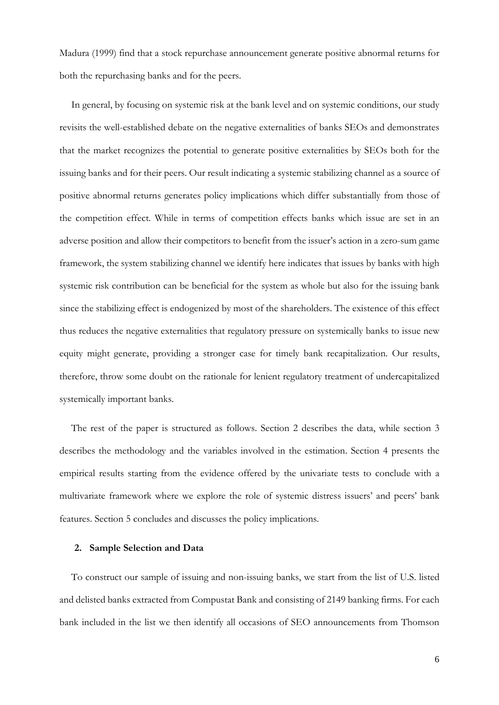Madura (1999) find that a stock repurchase announcement generate positive abnormal returns for both the repurchasing banks and for the peers.

In general, by focusing on systemic risk at the bank level and on systemic conditions, our study revisits the well-established debate on the negative externalities of banks SEOs and demonstrates that the market recognizes the potential to generate positive externalities by SEOs both for the issuing banks and for their peers. Our result indicating a systemic stabilizing channel as a source of positive abnormal returns generates policy implications which differ substantially from those of the competition effect. While in terms of competition effects banks which issue are set in an adverse position and allow their competitors to benefit from the issuer's action in a zero-sum game framework, the system stabilizing channel we identify here indicates that issues by banks with high systemic risk contribution can be beneficial for the system as whole but also for the issuing bank since the stabilizing effect is endogenized by most of the shareholders. The existence of this effect thus reduces the negative externalities that regulatory pressure on systemically banks to issue new equity might generate, providing a stronger case for timely bank recapitalization. Our results, therefore, throw some doubt on the rationale for lenient regulatory treatment of undercapitalized systemically important banks.

The rest of the paper is structured as follows. Section 2 describes the data, while section 3 describes the methodology and the variables involved in the estimation. Section 4 presents the empirical results starting from the evidence offered by the univariate tests to conclude with a multivariate framework where we explore the role of systemic distress issuers' and peers' bank features. Section 5 concludes and discusses the policy implications.

### **2. Sample Selection and Data**

To construct our sample of issuing and non-issuing banks, we start from the list of U.S. listed and delisted banks extracted from Compustat Bank and consisting of 2149 banking firms. For each bank included in the list we then identify all occasions of SEO announcements from Thomson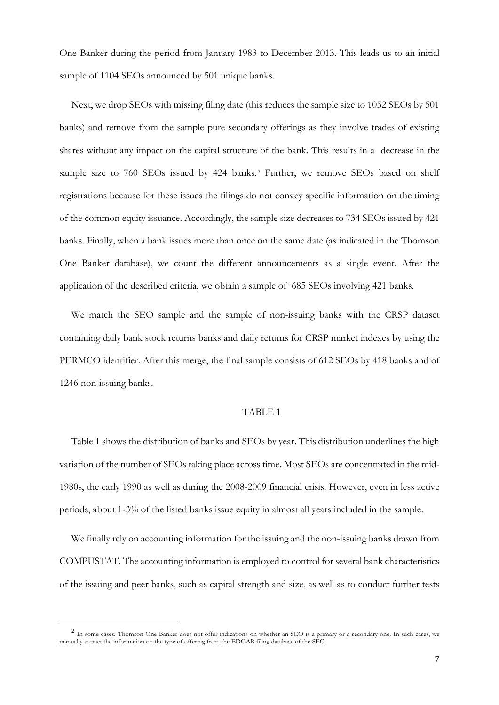One Banker during the period from January 1983 to December 2013. This leads us to an initial sample of 1104 SEOs announced by 501 unique banks.

Next, we drop SEOs with missing filing date (this reduces the sample size to 1052 SEOs by 501 banks) and remove from the sample pure secondary offerings as they involve trades of existing shares without any impact on the capital structure of the bank. This results in a decrease in the sample size to 760 SEOs issued by 4[2](#page-8-0)4 banks.<sup>2</sup> Further, we remove SEOs based on shelf registrations because for these issues the filings do not convey specific information on the timing of the common equity issuance. Accordingly, the sample size decreases to 734 SEOs issued by 421 banks. Finally, when a bank issues more than once on the same date (as indicated in the Thomson One Banker database), we count the different announcements as a single event. After the application of the described criteria, we obtain a sample of 685 SEOs involving 421 banks.

We match the SEO sample and the sample of non-issuing banks with the CRSP dataset containing daily bank stock returns banks and daily returns for CRSP market indexes by using the PERMCO identifier. After this merge, the final sample consists of 612 SEOs by 418 banks and of 1246 non-issuing banks.

#### TABLE 1

Table 1 shows the distribution of banks and SEOs by year. This distribution underlines the high variation of the number of SEOs taking place across time. Most SEOs are concentrated in the mid-1980s, the early 1990 as well as during the 2008-2009 financial crisis. However, even in less active periods, about 1-3% of the listed banks issue equity in almost all years included in the sample.

We finally rely on accounting information for the issuing and the non-issuing banks drawn from COMPUSTAT. The accounting information is employed to control for several bank characteristics of the issuing and peer banks, such as capital strength and size, as well as to conduct further tests

**.** 

<span id="page-8-0"></span><sup>&</sup>lt;sup>2</sup> In some cases, Thomson One Banker does not offer indications on whether an SEO is a primary or a secondary one. In such cases, we manually extract the information on the type of offering from the EDGAR filing database of the SEC.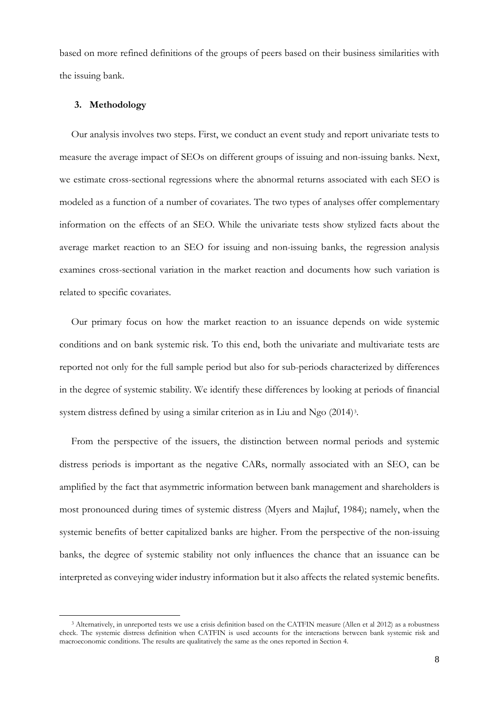based on more refined definitions of the groups of peers based on their business similarities with the issuing bank.

#### **3. Methodology**

 $\overline{\phantom{a}}$ 

Our analysis involves two steps. First, we conduct an event study and report univariate tests to measure the average impact of SEOs on different groups of issuing and non-issuing banks. Next, we estimate cross-sectional regressions where the abnormal returns associated with each SEO is modeled as a function of a number of covariates. The two types of analyses offer complementary information on the effects of an SEO. While the univariate tests show stylized facts about the average market reaction to an SEO for issuing and non-issuing banks, the regression analysis examines cross-sectional variation in the market reaction and documents how such variation is related to specific covariates.

Our primary focus on how the market reaction to an issuance depends on wide systemic conditions and on bank systemic risk. To this end, both the univariate and multivariate tests are reported not only for the full sample period but also for sub-periods characterized by differences in the degree of systemic stability. We identify these differences by looking at periods of financial system distress defined by using a similar criterion as in Liu and Ngo (2014)<sup>[3](#page-9-0)</sup>.

From the perspective of the issuers, the distinction between normal periods and systemic distress periods is important as the negative CARs, normally associated with an SEO, can be amplified by the fact that asymmetric information between bank management and shareholders is most pronounced during times of systemic distress (Myers and Majluf, 1984); namely, when the systemic benefits of better capitalized banks are higher. From the perspective of the non-issuing banks, the degree of systemic stability not only influences the chance that an issuance can be interpreted as conveying wider industry information but it also affects the related systemic benefits.

<span id="page-9-0"></span><sup>3</sup> Alternatively, in unreported tests we use a crisis definition based on the CATFIN measure (Allen et al 2012) as a robustness check. The systemic distress definition when CATFIN is used accounts for the interactions between bank systemic risk and macroeconomic conditions. The results are qualitatively the same as the ones reported in Section 4.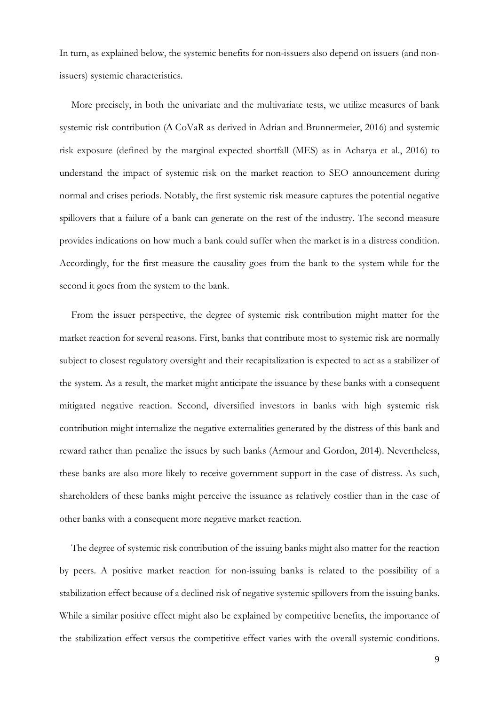In turn, as explained below, the systemic benefits for non-issuers also depend on issuers (and nonissuers) systemic characteristics.

More precisely, in both the univariate and the multivariate tests, we utilize measures of bank systemic risk contribution (∆ CoVaR as derived in Adrian and Brunnermeier, 2016) and systemic risk exposure (defined by the marginal expected shortfall (MES) as in Acharya et al., 2016) to understand the impact of systemic risk on the market reaction to SEO announcement during normal and crises periods. Notably, the first systemic risk measure captures the potential negative spillovers that a failure of a bank can generate on the rest of the industry. The second measure provides indications on how much a bank could suffer when the market is in a distress condition. Accordingly, for the first measure the causality goes from the bank to the system while for the second it goes from the system to the bank.

From the issuer perspective, the degree of systemic risk contribution might matter for the market reaction for several reasons. First, banks that contribute most to systemic risk are normally subject to closest regulatory oversight and their recapitalization is expected to act as a stabilizer of the system. As a result, the market might anticipate the issuance by these banks with a consequent mitigated negative reaction. Second, diversified investors in banks with high systemic risk contribution might internalize the negative externalities generated by the distress of this bank and reward rather than penalize the issues by such banks (Armour and Gordon, 2014). Nevertheless, these banks are also more likely to receive government support in the case of distress. As such, shareholders of these banks might perceive the issuance as relatively costlier than in the case of other banks with a consequent more negative market reaction.

The degree of systemic risk contribution of the issuing banks might also matter for the reaction by peers. A positive market reaction for non-issuing banks is related to the possibility of a stabilization effect because of a declined risk of negative systemic spillovers from the issuing banks. While a similar positive effect might also be explained by competitive benefits, the importance of the stabilization effect versus the competitive effect varies with the overall systemic conditions.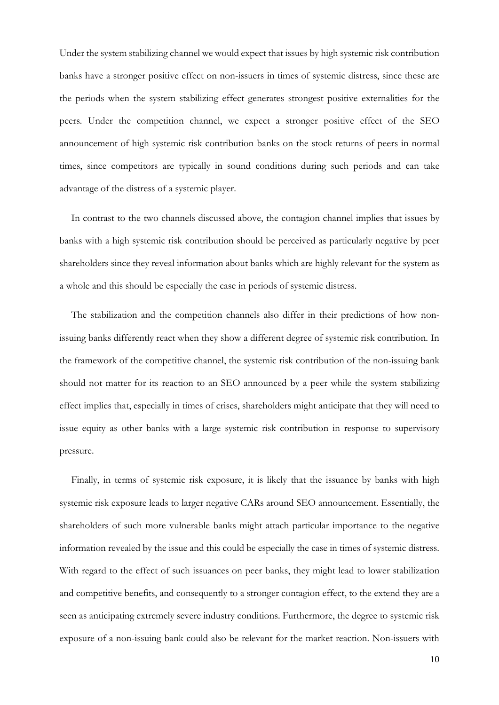Under the system stabilizing channel we would expect that issues by high systemic risk contribution banks have a stronger positive effect on non-issuers in times of systemic distress, since these are the periods when the system stabilizing effect generates strongest positive externalities for the peers. Under the competition channel, we expect a stronger positive effect of the SEO announcement of high systemic risk contribution banks on the stock returns of peers in normal times, since competitors are typically in sound conditions during such periods and can take advantage of the distress of a systemic player.

In contrast to the two channels discussed above, the contagion channel implies that issues by banks with a high systemic risk contribution should be perceived as particularly negative by peer shareholders since they reveal information about banks which are highly relevant for the system as a whole and this should be especially the case in periods of systemic distress.

The stabilization and the competition channels also differ in their predictions of how nonissuing banks differently react when they show a different degree of systemic risk contribution. In the framework of the competitive channel, the systemic risk contribution of the non-issuing bank should not matter for its reaction to an SEO announced by a peer while the system stabilizing effect implies that, especially in times of crises, shareholders might anticipate that they will need to issue equity as other banks with a large systemic risk contribution in response to supervisory pressure.

Finally, in terms of systemic risk exposure, it is likely that the issuance by banks with high systemic risk exposure leads to larger negative CARs around SEO announcement. Essentially, the shareholders of such more vulnerable banks might attach particular importance to the negative information revealed by the issue and this could be especially the case in times of systemic distress. With regard to the effect of such issuances on peer banks, they might lead to lower stabilization and competitive benefits, and consequently to a stronger contagion effect, to the extend they are a seen as anticipating extremely severe industry conditions. Furthermore, the degree to systemic risk exposure of a non-issuing bank could also be relevant for the market reaction. Non-issuers with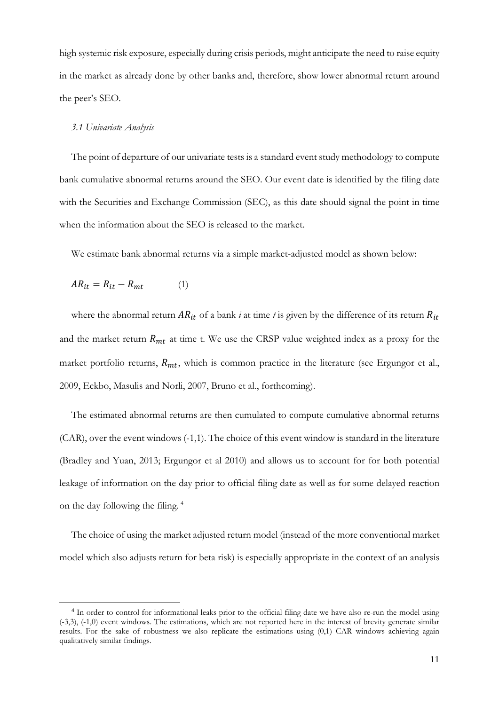high systemic risk exposure, especially during crisis periods, might anticipate the need to raise equity in the market as already done by other banks and, therefore, show lower abnormal return around the peer's SEO.

#### *3.1 Univariate Analysis*

The point of departure of our univariate tests is a standard event study methodology to compute bank cumulative abnormal returns around the SEO. Our event date is identified by the filing date with the Securities and Exchange Commission (SEC), as this date should signal the point in time when the information about the SEO is released to the market.

We estimate bank abnormal returns via a simple market-adjusted model as shown below:

$$
AR_{it} = R_{it} - R_{mt} \tag{1}
$$

 $\overline{\phantom{a}}$ 

where the abnormal return  $AR_{it}$  of a bank *i* at time *t* is given by the difference of its return  $R_{it}$ and the market return  $R_{mt}$  at time t. We use the CRSP value weighted index as a proxy for the market portfolio returns,  $R_{mt}$ , which is common practice in the literature (see Ergungor et al., 2009, Eckbo, Masulis and Norli, 2007, Bruno et al., forthcoming).

The estimated abnormal returns are then cumulated to compute cumulative abnormal returns (CAR), over the event windows (-1,1). The choice of this event window is standard in the literature (Bradley and Yuan, 2013; Ergungor et al 2010) and allows us to account for for both potential leakage of information on the day prior to official filing date as well as for some delayed reaction on the day following the filing. [4](#page-12-0)

The choice of using the market adjusted return model (instead of the more conventional market model which also adjusts return for beta risk) is especially appropriate in the context of an analysis

<span id="page-12-0"></span><sup>4</sup> In order to control for informational leaks prior to the official filing date we have also re-run the model using (-3,3), (-1,0) event windows. The estimations, which are not reported here in the interest of brevity generate similar results. For the sake of robustness we also replicate the estimations using (0,1) CAR windows achieving again qualitatively similar findings.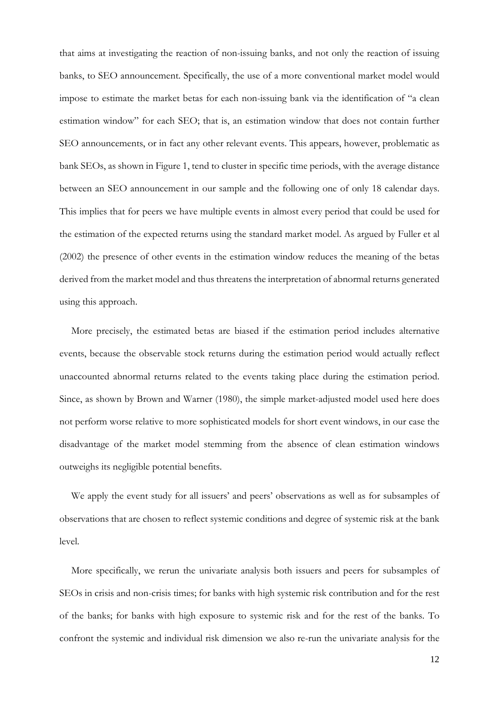that aims at investigating the reaction of non-issuing banks, and not only the reaction of issuing banks, to SEO announcement. Specifically, the use of a more conventional market model would impose to estimate the market betas for each non-issuing bank via the identification of "a clean estimation window" for each SEO; that is, an estimation window that does not contain further SEO announcements, or in fact any other relevant events. This appears, however, problematic as bank SEOs, as shown in Figure 1, tend to cluster in specific time periods, with the average distance between an SEO announcement in our sample and the following one of only 18 calendar days. This implies that for peers we have multiple events in almost every period that could be used for the estimation of the expected returns using the standard market model. As argued by Fuller et al (2002) the presence of other events in the estimation window reduces the meaning of the betas derived from the market model and thus threatens the interpretation of abnormal returns generated using this approach.

More precisely, the estimated betas are biased if the estimation period includes alternative events, because the observable stock returns during the estimation period would actually reflect unaccounted abnormal returns related to the events taking place during the estimation period. Since, as shown by Brown and Warner (1980), the simple market-adjusted model used here does not perform worse relative to more sophisticated models for short event windows, in our case the disadvantage of the market model stemming from the absence of clean estimation windows outweighs its negligible potential benefits.

We apply the event study for all issuers' and peers' observations as well as for subsamples of observations that are chosen to reflect systemic conditions and degree of systemic risk at the bank level.

More specifically, we rerun the univariate analysis both issuers and peers for subsamples of SEOs in crisis and non-crisis times; for banks with high systemic risk contribution and for the rest of the banks; for banks with high exposure to systemic risk and for the rest of the banks. To confront the systemic and individual risk dimension we also re-run the univariate analysis for the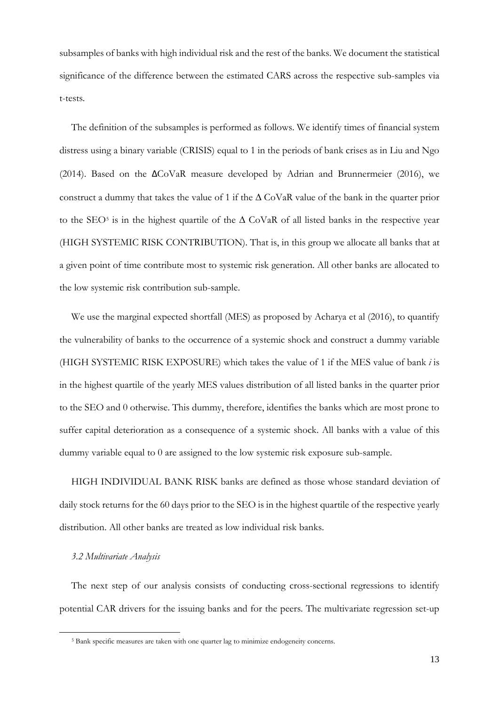subsamples of banks with high individual risk and the rest of the banks. We document the statistical significance of the difference between the estimated CARS across the respective sub-samples via t-tests.

The definition of the subsamples is performed as follows. We identify times of financial system distress using a binary variable (CRISIS) equal to 1 in the periods of bank crises as in Liu and Ngo (2014). Based on the ∆CoVaR measure developed by Adrian and Brunnermeier (2016), we construct a dummy that takes the value of 1 if the  $\Delta$  CoVaR value of the bank in the quarter prior to the SEO<sup>[5](#page-14-0)</sup> is in the highest quartile of the  $\Delta$  CoVaR of all listed banks in the respective year (HIGH SYSTEMIC RISK CONTRIBUTION). That is, in this group we allocate all banks that at a given point of time contribute most to systemic risk generation. All other banks are allocated to the low systemic risk contribution sub-sample.

We use the marginal expected shortfall (MES) as proposed by Acharya et al (2016), to quantify the vulnerability of banks to the occurrence of a systemic shock and construct a dummy variable (HIGH SYSTEMIC RISK EXPOSURE) which takes the value of 1 if the MES value of bank *i* is in the highest quartile of the yearly MES values distribution of all listed banks in the quarter prior to the SEO and 0 otherwise. This dummy, therefore, identifies the banks which are most prone to suffer capital deterioration as a consequence of a systemic shock. All banks with a value of this dummy variable equal to 0 are assigned to the low systemic risk exposure sub-sample.

HIGH INDIVIDUAL BANK RISK banks are defined as those whose standard deviation of daily stock returns for the 60 days prior to the SEO is in the highest quartile of the respective yearly distribution. All other banks are treated as low individual risk banks.

#### *3.2 Multivariate Analysis*

<span id="page-14-0"></span>**.** 

The next step of our analysis consists of conducting cross-sectional regressions to identify potential CAR drivers for the issuing banks and for the peers. The multivariate regression set-up

<sup>5</sup> Bank specific measures are taken with one quarter lag to minimize endogeneity concerns.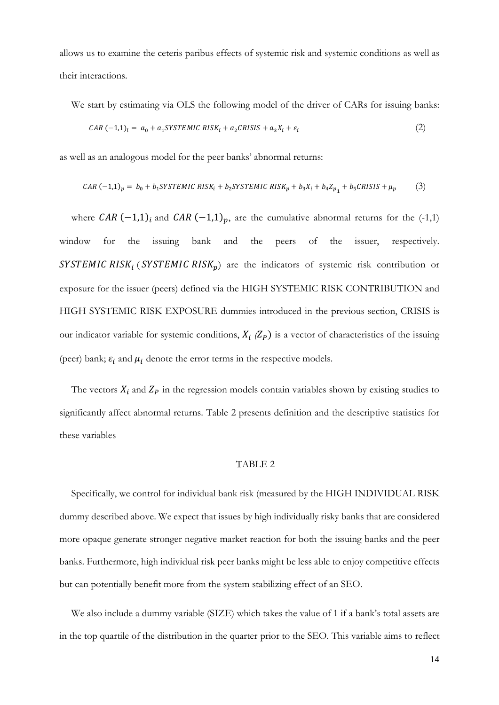allows us to examine the ceteris paribus effects of systemic risk and systemic conditions as well as their interactions.

We start by estimating via OLS the following model of the driver of CARs for issuing banks:

$$
CAR \ (-1,1)_i = a_0 + a_1 SYSTEMIC \ RISK_i + a_2CRISIS + a_3X_i + \varepsilon_i \tag{2}
$$

as well as an analogous model for the peer banks' abnormal returns:

$$
CAR (-1,1)_p = b_0 + b_1 SYSTEMIC \; RISK_i + b_2 SYSTEMIC \; RISK_p + b_3X_i + b_4Z_{p_1} + b_5CRISIS + \mu_p \tag{3}
$$

where  $CAR$  (-1,1)<sub>i</sub> and  $CAR$  (-1,1)<sub>p</sub>, are the cumulative abnormal returns for the (-1,1) window for the issuing bank and the peers of the issuer, respectively. SYSTEMIC RISK<sub>i</sub> (SYSTEMIC RISK<sub>p</sub>) are the indicators of systemic risk contribution or exposure for the issuer (peers) defined via the HIGH SYSTEMIC RISK CONTRIBUTION and HIGH SYSTEMIC RISK EXPOSURE dummies introduced in the previous section, CRISIS is our indicator variable for systemic conditions,  $X_i$  ( $Z_p$ ) is a vector of characteristics of the issuing (peer) bank;  $\varepsilon_i$  and  $\mu_i$  denote the error terms in the respective models.

The vectors  $X_i$  and  $Z_p$  in the regression models contain variables shown by existing studies to significantly affect abnormal returns. Table 2 presents definition and the descriptive statistics for these variables

## TABLE 2

Specifically, we control for individual bank risk (measured by the HIGH INDIVIDUAL RISK dummy described above. We expect that issues by high individually risky banks that are considered more opaque generate stronger negative market reaction for both the issuing banks and the peer banks. Furthermore, high individual risk peer banks might be less able to enjoy competitive effects but can potentially benefit more from the system stabilizing effect of an SEO.

We also include a dummy variable (SIZE) which takes the value of 1 if a bank's total assets are in the top quartile of the distribution in the quarter prior to the SEO. This variable aims to reflect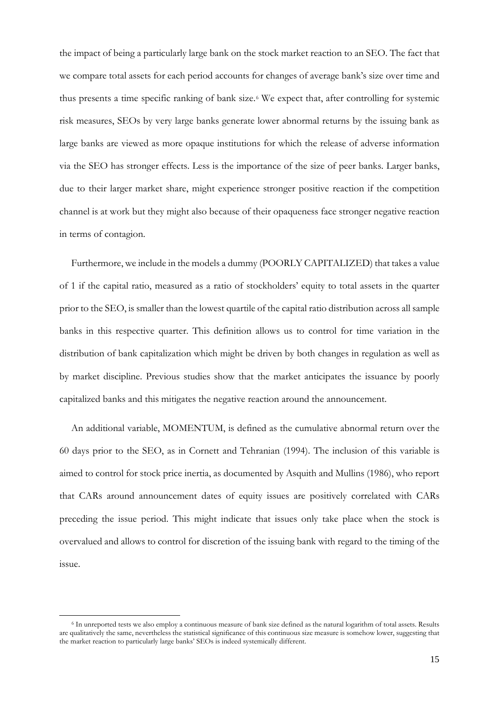the impact of being a particularly large bank on the stock market reaction to an SEO. The fact that we compare total assets for each period accounts for changes of average bank's size over time and thus presents a time specific ranking of bank size.[6](#page-16-0) We expect that, after controlling for systemic risk measures, SEOs by very large banks generate lower abnormal returns by the issuing bank as large banks are viewed as more opaque institutions for which the release of adverse information via the SEO has stronger effects. Less is the importance of the size of peer banks. Larger banks, due to their larger market share, might experience stronger positive reaction if the competition channel is at work but they might also because of their opaqueness face stronger negative reaction in terms of contagion.

Furthermore, we include in the models a dummy (POORLY CAPITALIZED) that takes a value of 1 if the capital ratio, measured as a ratio of stockholders' equity to total assets in the quarter prior to the SEO, is smaller than the lowest quartile of the capital ratio distribution across all sample banks in this respective quarter. This definition allows us to control for time variation in the distribution of bank capitalization which might be driven by both changes in regulation as well as by market discipline. Previous studies show that the market anticipates the issuance by poorly capitalized banks and this mitigates the negative reaction around the announcement.

An additional variable, MOMENTUM, is defined as the cumulative abnormal return over the 60 days prior to the SEO, as in Cornett and Tehranian (1994). The inclusion of this variable is aimed to control for stock price inertia, as documented by Asquith and Mullins (1986), who report that CARs around announcement dates of equity issues are positively correlated with CARs preceding the issue period. This might indicate that issues only take place when the stock is overvalued and allows to control for discretion of the issuing bank with regard to the timing of the issue.

 $\overline{\phantom{a}}$ 

<span id="page-16-0"></span><sup>6</sup> In unreported tests we also employ a continuous measure of bank size defined as the natural logarithm of total assets. Results are qualitatively the same, nevertheless the statistical significance of this continuous size measure is somehow lower, suggesting that the market reaction to particularly large banks' SEOs is indeed systemically different.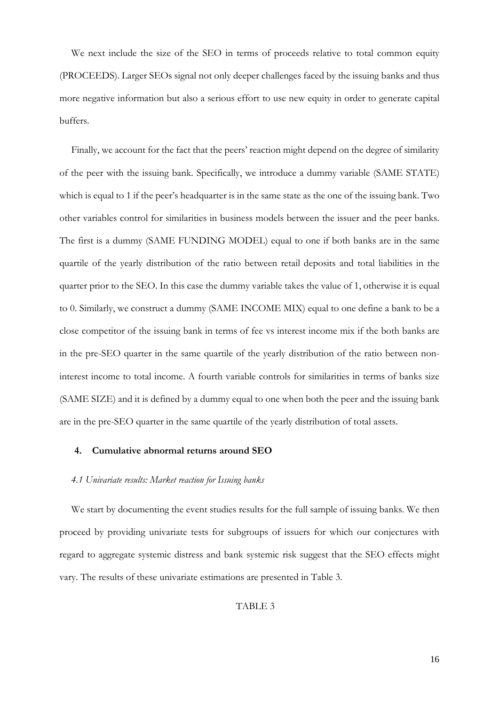We next include the size of the SEO in terms of proceeds relative to total common equity (PROCEEDS). Larger SEOs signal not only deeper challenges faced by the issuing banks and thus more negative information but also a serious effort to use new equity in order to generate capital buffers.

Finally, we account for the fact that the peers' reaction might depend on the degree of similarity of the peer with the issuing bank. Specifically, we introduce a dummy variable (SAME STATE) which is equal to 1 if the peer's headquarter is in the same state as the one of the issuing bank. Two other variables control for similarities in business models between the issuer and the peer banks. The first is a dummy (SAME FUNDING MODEL) equal to one if both banks are in the same quartile of the yearly distribution of the ratio between retail deposits and total liabilities in the quarter prior to the SEO. In this case the dummy variable takes the value of 1, otherwise it is equal to 0. Similarly, we construct a dummy (SAME INCOME MIX) equal to one define a bank to be a close competitor of the issuing bank in terms of fee vs interest income mix if the both banks are in the pre-SEO quarter in the same quartile of the yearly distribution of the ratio between noninterest income to total income. A fourth variable controls for similarities in terms of banks size (SAME SIZE) and it is defined by a dummy equal to one when both the peer and the issuing bank are in the pre-SEO quarter in the same quartile of the yearly distribution of total assets.

#### **4. Cumulative abnormal returns around SEO**

#### *4.1 Univariate results: Market reaction for Issuing banks*

We start by documenting the event studies results for the full sample of issuing banks. We then proceed by providing univariate tests for subgroups of issuers for which our conjectures with regard to aggregate systemic distress and bank systemic risk suggest that the SEO effects might vary. The results of these univariate estimations are presented in Table 3.

#### TABLE 3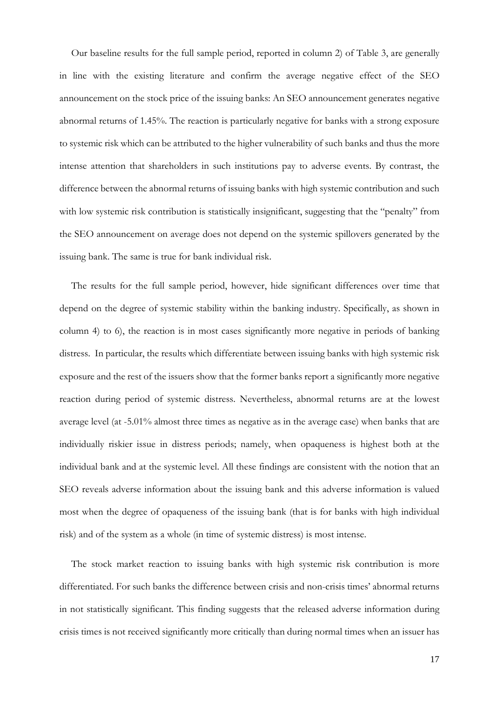Our baseline results for the full sample period, reported in column 2) of Table 3, are generally in line with the existing literature and confirm the average negative effect of the SEO announcement on the stock price of the issuing banks: An SEO announcement generates negative abnormal returns of 1.45%. The reaction is particularly negative for banks with a strong exposure to systemic risk which can be attributed to the higher vulnerability of such banks and thus the more intense attention that shareholders in such institutions pay to adverse events. By contrast, the difference between the abnormal returns of issuing banks with high systemic contribution and such with low systemic risk contribution is statistically insignificant, suggesting that the "penalty" from the SEO announcement on average does not depend on the systemic spillovers generated by the issuing bank. The same is true for bank individual risk.

The results for the full sample period, however, hide significant differences over time that depend on the degree of systemic stability within the banking industry. Specifically, as shown in column 4) to 6), the reaction is in most cases significantly more negative in periods of banking distress. In particular, the results which differentiate between issuing banks with high systemic risk exposure and the rest of the issuers show that the former banks report a significantly more negative reaction during period of systemic distress. Nevertheless, abnormal returns are at the lowest average level (at -5.01% almost three times as negative as in the average case) when banks that are individually riskier issue in distress periods; namely, when opaqueness is highest both at the individual bank and at the systemic level. All these findings are consistent with the notion that an SEO reveals adverse information about the issuing bank and this adverse information is valued most when the degree of opaqueness of the issuing bank (that is for banks with high individual risk) and of the system as a whole (in time of systemic distress) is most intense.

The stock market reaction to issuing banks with high systemic risk contribution is more differentiated. For such banks the difference between crisis and non-crisis times' abnormal returns in not statistically significant. This finding suggests that the released adverse information during crisis times is not received significantly more critically than during normal times when an issuer has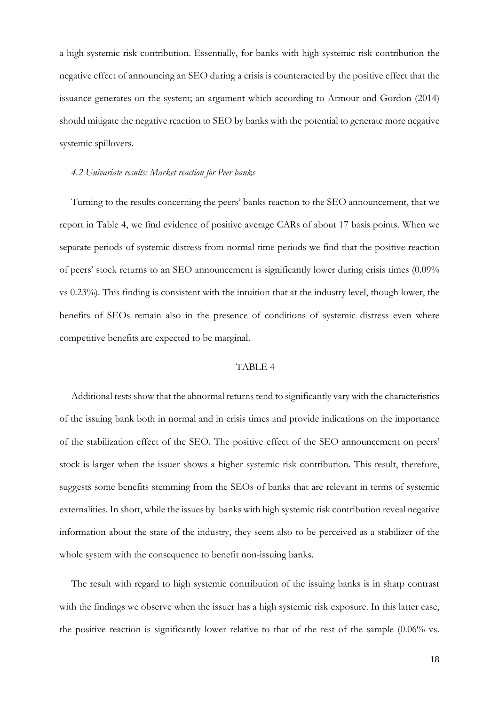a high systemic risk contribution. Essentially, for banks with high systemic risk contribution the negative effect of announcing an SEO during a crisis is counteracted by the positive effect that the issuance generates on the system; an argument which according to Armour and Gordon (2014) should mitigate the negative reaction to SEO by banks with the potential to generate more negative systemic spillovers.

#### *4.2 Univariate results: Market reaction for Peer banks*

Turning to the results concerning the peers' banks reaction to the SEO announcement, that we report in Table 4, we find evidence of positive average CARs of about 17 basis points. When we separate periods of systemic distress from normal time periods we find that the positive reaction of peers' stock returns to an SEO announcement is significantly lower during crisis times (0.09% vs 0.23%). This finding is consistent with the intuition that at the industry level, though lower, the benefits of SEOs remain also in the presence of conditions of systemic distress even where competitive benefits are expected to be marginal.

#### TABLE 4

Additional tests show that the abnormal returns tend to significantly vary with the characteristics of the issuing bank both in normal and in crisis times and provide indications on the importance of the stabilization effect of the SEO. The positive effect of the SEO announcement on peers' stock is larger when the issuer shows a higher systemic risk contribution. This result, therefore, suggests some benefits stemming from the SEOs of banks that are relevant in terms of systemic externalities. In short, while the issues by banks with high systemic risk contribution reveal negative information about the state of the industry, they seem also to be perceived as a stabilizer of the whole system with the consequence to benefit non-issuing banks.

The result with regard to high systemic contribution of the issuing banks is in sharp contrast with the findings we observe when the issuer has a high systemic risk exposure. In this latter case, the positive reaction is significantly lower relative to that of the rest of the sample (0.06% vs.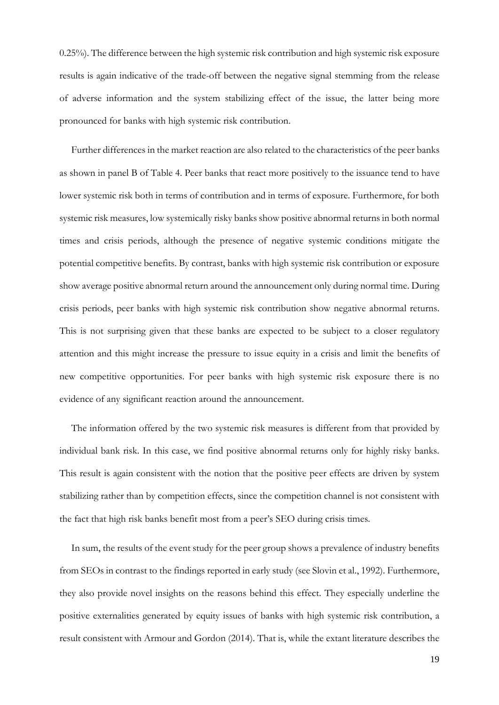0.25%). The difference between the high systemic risk contribution and high systemic risk exposure results is again indicative of the trade-off between the negative signal stemming from the release of adverse information and the system stabilizing effect of the issue, the latter being more pronounced for banks with high systemic risk contribution.

Further differences in the market reaction are also related to the characteristics of the peer banks as shown in panel B of Table 4. Peer banks that react more positively to the issuance tend to have lower systemic risk both in terms of contribution and in terms of exposure. Furthermore, for both systemic risk measures, low systemically risky banks show positive abnormal returns in both normal times and crisis periods, although the presence of negative systemic conditions mitigate the potential competitive benefits. By contrast, banks with high systemic risk contribution or exposure show average positive abnormal return around the announcement only during normal time. During crisis periods, peer banks with high systemic risk contribution show negative abnormal returns. This is not surprising given that these banks are expected to be subject to a closer regulatory attention and this might increase the pressure to issue equity in a crisis and limit the benefits of new competitive opportunities. For peer banks with high systemic risk exposure there is no evidence of any significant reaction around the announcement.

The information offered by the two systemic risk measures is different from that provided by individual bank risk. In this case, we find positive abnormal returns only for highly risky banks. This result is again consistent with the notion that the positive peer effects are driven by system stabilizing rather than by competition effects, since the competition channel is not consistent with the fact that high risk banks benefit most from a peer's SEO during crisis times.

In sum, the results of the event study for the peer group shows a prevalence of industry benefits from SEOs in contrast to the findings reported in early study (see Slovin et al., 1992). Furthermore, they also provide novel insights on the reasons behind this effect. They especially underline the positive externalities generated by equity issues of banks with high systemic risk contribution, a result consistent with Armour and Gordon (2014). That is, while the extant literature describes the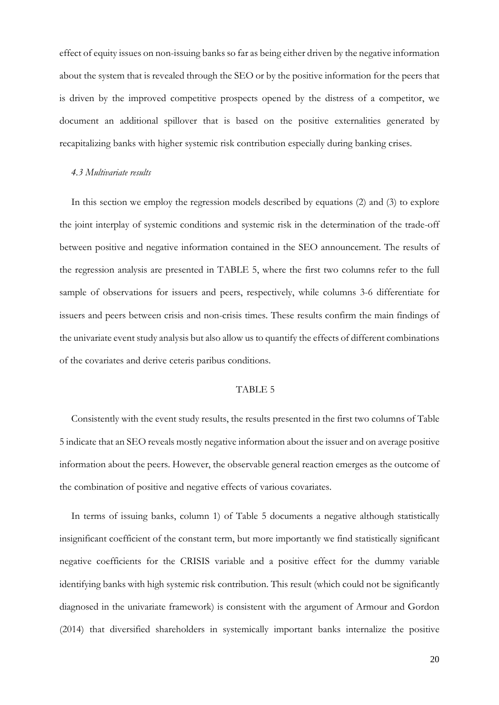effect of equity issues on non-issuing banks so far as being either driven by the negative information about the system that is revealed through the SEO or by the positive information for the peers that is driven by the improved competitive prospects opened by the distress of a competitor, we document an additional spillover that is based on the positive externalities generated by recapitalizing banks with higher systemic risk contribution especially during banking crises.

#### *4.3 Multivariate results*

In this section we employ the regression models described by equations (2) and (3) to explore the joint interplay of systemic conditions and systemic risk in the determination of the trade-off between positive and negative information contained in the SEO announcement. The results of the regression analysis are presented in TABLE 5, where the first two columns refer to the full sample of observations for issuers and peers, respectively, while columns 3-6 differentiate for issuers and peers between crisis and non-crisis times. These results confirm the main findings of the univariate event study analysis but also allow us to quantify the effects of different combinations of the covariates and derive ceteris paribus conditions.

#### TABLE 5

Consistently with the event study results, the results presented in the first two columns of Table 5 indicate that an SEO reveals mostly negative information about the issuer and on average positive information about the peers. However, the observable general reaction emerges as the outcome of the combination of positive and negative effects of various covariates.

In terms of issuing banks, column 1) of Table 5 documents a negative although statistically insignificant coefficient of the constant term, but more importantly we find statistically significant negative coefficients for the CRISIS variable and a positive effect for the dummy variable identifying banks with high systemic risk contribution. This result (which could not be significantly diagnosed in the univariate framework) is consistent with the argument of Armour and Gordon (2014) that diversified shareholders in systemically important banks internalize the positive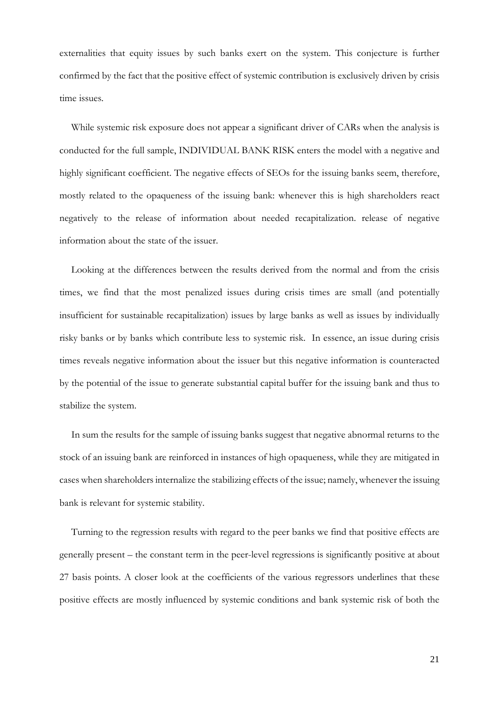externalities that equity issues by such banks exert on the system. This conjecture is further confirmed by the fact that the positive effect of systemic contribution is exclusively driven by crisis time issues.

While systemic risk exposure does not appear a significant driver of CARs when the analysis is conducted for the full sample, INDIVIDUAL BANK RISK enters the model with a negative and highly significant coefficient. The negative effects of SEOs for the issuing banks seem, therefore, mostly related to the opaqueness of the issuing bank: whenever this is high shareholders react negatively to the release of information about needed recapitalization. release of negative information about the state of the issuer.

Looking at the differences between the results derived from the normal and from the crisis times, we find that the most penalized issues during crisis times are small (and potentially insufficient for sustainable recapitalization) issues by large banks as well as issues by individually risky banks or by banks which contribute less to systemic risk. In essence, an issue during crisis times reveals negative information about the issuer but this negative information is counteracted by the potential of the issue to generate substantial capital buffer for the issuing bank and thus to stabilize the system.

In sum the results for the sample of issuing banks suggest that negative abnormal returns to the stock of an issuing bank are reinforced in instances of high opaqueness, while they are mitigated in cases when shareholders internalize the stabilizing effects of the issue; namely, whenever the issuing bank is relevant for systemic stability.

Turning to the regression results with regard to the peer banks we find that positive effects are generally present – the constant term in the peer-level regressions is significantly positive at about 27 basis points. A closer look at the coefficients of the various regressors underlines that these positive effects are mostly influenced by systemic conditions and bank systemic risk of both the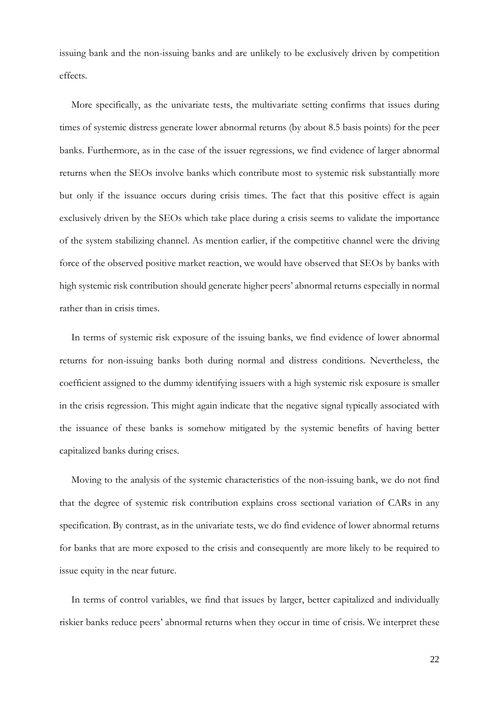issuing bank and the non-issuing banks and are unlikely to be exclusively driven by competition effects.

More specifically, as the univariate tests, the multivariate setting confirms that issues during times of systemic distress generate lower abnormal returns (by about 8.5 basis points) for the peer banks. Furthermore, as in the case of the issuer regressions, we find evidence of larger abnormal returns when the SEOs involve banks which contribute most to systemic risk substantially more but only if the issuance occurs during crisis times. The fact that this positive effect is again exclusively driven by the SEOs which take place during a crisis seems to validate the importance of the system stabilizing channel. As mention earlier, if the competitive channel were the driving force of the observed positive market reaction, we would have observed that SEOs by banks with high systemic risk contribution should generate higher peers' abnormal returns especially in normal rather than in crisis times.

In terms of systemic risk exposure of the issuing banks, we find evidence of lower abnormal returns for non-issuing banks both during normal and distress conditions. Nevertheless, the coefficient assigned to the dummy identifying issuers with a high systemic risk exposure is smaller in the crisis regression. This might again indicate that the negative signal typically associated with the issuance of these banks is somehow mitigated by the systemic benefits of having better capitalized banks during crises.

Moving to the analysis of the systemic characteristics of the non-issuing bank, we do not find that the degree of systemic risk contribution explains cross sectional variation of CARs in any specification. By contrast, as in the univariate tests, we do find evidence of lower abnormal returns for banks that are more exposed to the crisis and consequently are more likely to be required to issue equity in the near future.

In terms of control variables, we find that issues by larger, better capitalized and individually riskier banks reduce peers' abnormal returns when they occur in time of crisis. We interpret these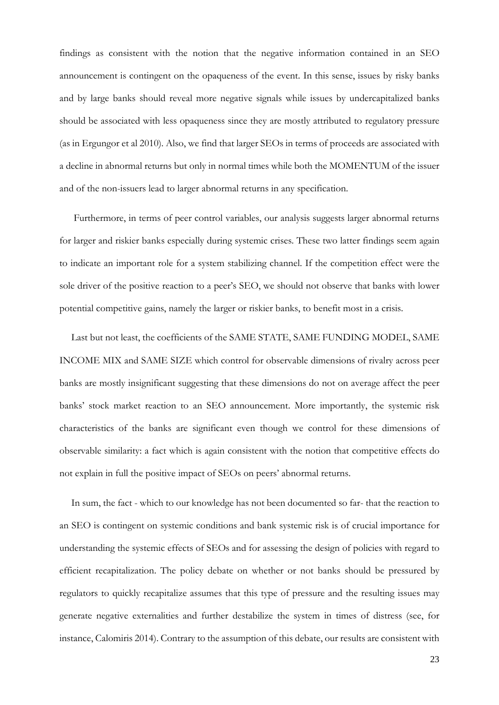findings as consistent with the notion that the negative information contained in an SEO announcement is contingent on the opaqueness of the event. In this sense, issues by risky banks and by large banks should reveal more negative signals while issues by undercapitalized banks should be associated with less opaqueness since they are mostly attributed to regulatory pressure (as in Ergungor et al 2010). Also, we find that larger SEOs in terms of proceeds are associated with a decline in abnormal returns but only in normal times while both the MOMENTUM of the issuer and of the non-issuers lead to larger abnormal returns in any specification.

Furthermore, in terms of peer control variables, our analysis suggests larger abnormal returns for larger and riskier banks especially during systemic crises. These two latter findings seem again to indicate an important role for a system stabilizing channel. If the competition effect were the sole driver of the positive reaction to a peer's SEO, we should not observe that banks with lower potential competitive gains, namely the larger or riskier banks, to benefit most in a crisis.

Last but not least, the coefficients of the SAME STATE, SAME FUNDING MODEL, SAME INCOME MIX and SAME SIZE which control for observable dimensions of rivalry across peer banks are mostly insignificant suggesting that these dimensions do not on average affect the peer banks' stock market reaction to an SEO announcement. More importantly, the systemic risk characteristics of the banks are significant even though we control for these dimensions of observable similarity: a fact which is again consistent with the notion that competitive effects do not explain in full the positive impact of SEOs on peers' abnormal returns.

In sum, the fact - which to our knowledge has not been documented so far- that the reaction to an SEO is contingent on systemic conditions and bank systemic risk is of crucial importance for understanding the systemic effects of SEOs and for assessing the design of policies with regard to efficient recapitalization. The policy debate on whether or not banks should be pressured by regulators to quickly recapitalize assumes that this type of pressure and the resulting issues may generate negative externalities and further destabilize the system in times of distress (see, for instance, Calomiris 2014). Contrary to the assumption of this debate, our results are consistent with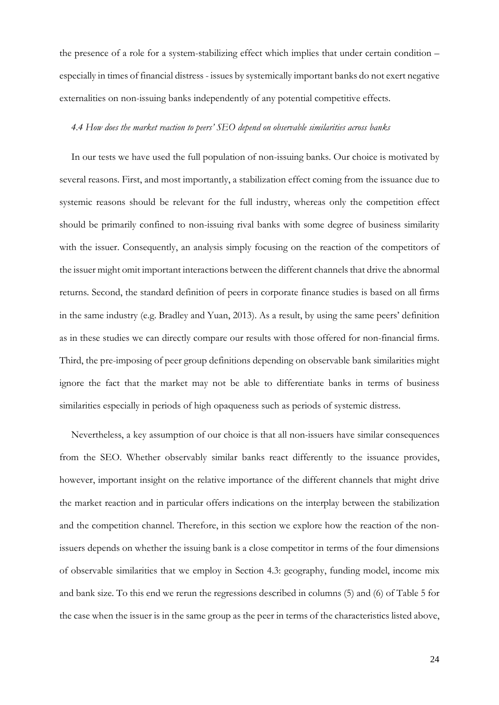the presence of a role for a system-stabilizing effect which implies that under certain condition – especially in times of financial distress - issues by systemically important banks do not exert negative externalities on non-issuing banks independently of any potential competitive effects.

#### *4.4 How does the market reaction to peers' SEO depend on observable similarities across banks*

In our tests we have used the full population of non-issuing banks. Our choice is motivated by several reasons. First, and most importantly, a stabilization effect coming from the issuance due to systemic reasons should be relevant for the full industry, whereas only the competition effect should be primarily confined to non-issuing rival banks with some degree of business similarity with the issuer. Consequently, an analysis simply focusing on the reaction of the competitors of the issuer might omit important interactions between the different channels that drive the abnormal returns. Second, the standard definition of peers in corporate finance studies is based on all firms in the same industry (e.g. Bradley and Yuan, 2013). As a result, by using the same peers' definition as in these studies we can directly compare our results with those offered for non-financial firms. Third, the pre-imposing of peer group definitions depending on observable bank similarities might ignore the fact that the market may not be able to differentiate banks in terms of business similarities especially in periods of high opaqueness such as periods of systemic distress.

Nevertheless, a key assumption of our choice is that all non-issuers have similar consequences from the SEO. Whether observably similar banks react differently to the issuance provides, however, important insight on the relative importance of the different channels that might drive the market reaction and in particular offers indications on the interplay between the stabilization and the competition channel. Therefore, in this section we explore how the reaction of the nonissuers depends on whether the issuing bank is a close competitor in terms of the four dimensions of observable similarities that we employ in Section 4.3: geography, funding model, income mix and bank size. To this end we rerun the regressions described in columns (5) and (6) of Table 5 for the case when the issuer is in the same group as the peer in terms of the characteristics listed above,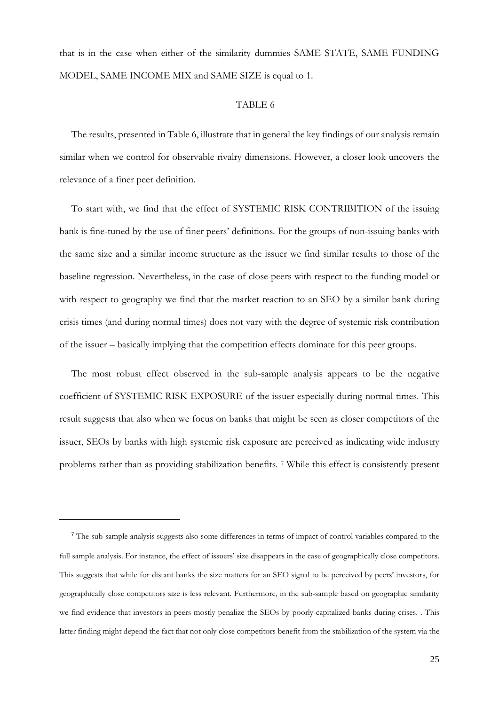that is in the case when either of the similarity dummies SAME STATE, SAME FUNDING MODEL, SAME INCOME MIX and SAME SIZE is equal to 1.

### TABLE 6

The results, presented in Table 6, illustrate that in general the key findings of our analysis remain similar when we control for observable rivalry dimensions. However, a closer look uncovers the relevance of a finer peer definition.

To start with, we find that the effect of SYSTEMIC RISK CONTRIBITION of the issuing bank is fine-tuned by the use of finer peers' definitions. For the groups of non-issuing banks with the same size and a similar income structure as the issuer we find similar results to those of the baseline regression. Nevertheless, in the case of close peers with respect to the funding model or with respect to geography we find that the market reaction to an SEO by a similar bank during crisis times (and during normal times) does not vary with the degree of systemic risk contribution of the issuer – basically implying that the competition effects dominate for this peer groups.

The most robust effect observed in the sub-sample analysis appears to be the negative coefficient of SYSTEMIC RISK EXPOSURE of the issuer especially during normal times. This result suggests that also when we focus on banks that might be seen as closer competitors of the issuer, SEOs by banks with high systemic risk exposure are perceived as indicating wide industry problems rather than as providing stabilization benefits. [7](#page-26-0) While this effect is consistently present

**.** 

<span id="page-26-0"></span><sup>&</sup>lt;sup>7</sup> The sub-sample analysis suggests also some differences in terms of impact of control variables compared to the full sample analysis. For instance, the effect of issuers' size disappears in the case of geographically close competitors. This suggests that while for distant banks the size matters for an SEO signal to be perceived by peers' investors, for geographically close competitors size is less relevant. Furthermore, in the sub-sample based on geographic similarity we find evidence that investors in peers mostly penalize the SEOs by poorly-capitalized banks during crises. . This latter finding might depend the fact that not only close competitors benefit from the stabilization of the system via the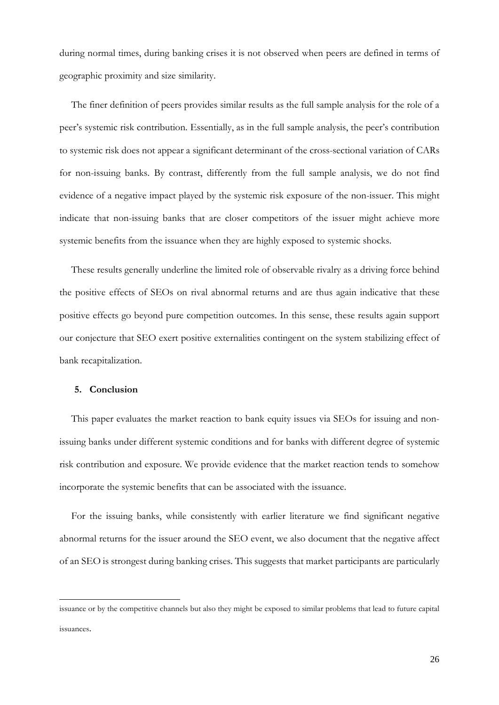during normal times, during banking crises it is not observed when peers are defined in terms of geographic proximity and size similarity.

The finer definition of peers provides similar results as the full sample analysis for the role of a peer's systemic risk contribution. Essentially, as in the full sample analysis, the peer's contribution to systemic risk does not appear a significant determinant of the cross-sectional variation of CARs for non-issuing banks. By contrast, differently from the full sample analysis, we do not find evidence of a negative impact played by the systemic risk exposure of the non-issuer. This might indicate that non-issuing banks that are closer competitors of the issuer might achieve more systemic benefits from the issuance when they are highly exposed to systemic shocks.

These results generally underline the limited role of observable rivalry as a driving force behind the positive effects of SEOs on rival abnormal returns and are thus again indicative that these positive effects go beyond pure competition outcomes. In this sense, these results again support our conjecture that SEO exert positive externalities contingent on the system stabilizing effect of bank recapitalization.

#### **5. Conclusion**

**.** 

This paper evaluates the market reaction to bank equity issues via SEOs for issuing and nonissuing banks under different systemic conditions and for banks with different degree of systemic risk contribution and exposure. We provide evidence that the market reaction tends to somehow incorporate the systemic benefits that can be associated with the issuance.

For the issuing banks, while consistently with earlier literature we find significant negative abnormal returns for the issuer around the SEO event, we also document that the negative affect of an SEO is strongest during banking crises. This suggests that market participants are particularly

issuance or by the competitive channels but also they might be exposed to similar problems that lead to future capital issuances.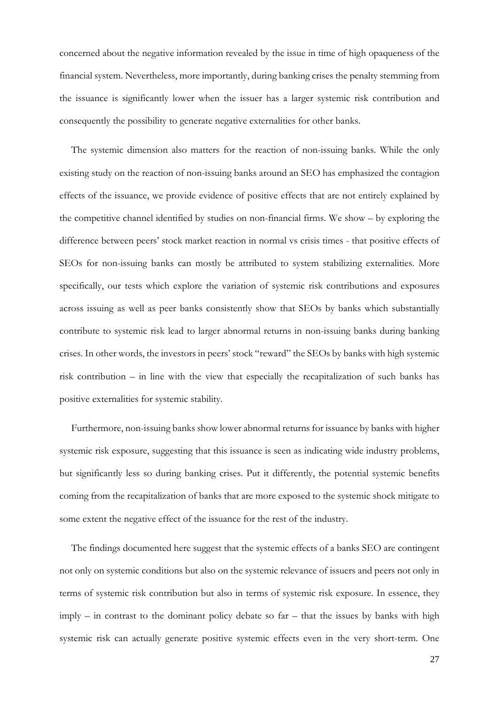concerned about the negative information revealed by the issue in time of high opaqueness of the financial system. Nevertheless, more importantly, during banking crises the penalty stemming from the issuance is significantly lower when the issuer has a larger systemic risk contribution and consequently the possibility to generate negative externalities for other banks.

The systemic dimension also matters for the reaction of non-issuing banks. While the only existing study on the reaction of non-issuing banks around an SEO has emphasized the contagion effects of the issuance, we provide evidence of positive effects that are not entirely explained by the competitive channel identified by studies on non-financial firms. We show – by exploring the difference between peers' stock market reaction in normal vs crisis times - that positive effects of SEOs for non-issuing banks can mostly be attributed to system stabilizing externalities. More specifically, our tests which explore the variation of systemic risk contributions and exposures across issuing as well as peer banks consistently show that SEOs by banks which substantially contribute to systemic risk lead to larger abnormal returns in non-issuing banks during banking crises. In other words, the investors in peers' stock "reward" the SEOs by banks with high systemic risk contribution – in line with the view that especially the recapitalization of such banks has positive externalities for systemic stability.

Furthermore, non-issuing banks show lower abnormal returns for issuance by banks with higher systemic risk exposure, suggesting that this issuance is seen as indicating wide industry problems, but significantly less so during banking crises. Put it differently, the potential systemic benefits coming from the recapitalization of banks that are more exposed to the systemic shock mitigate to some extent the negative effect of the issuance for the rest of the industry.

The findings documented here suggest that the systemic effects of a banks SEO are contingent not only on systemic conditions but also on the systemic relevance of issuers and peers not only in terms of systemic risk contribution but also in terms of systemic risk exposure. In essence, they imply – in contrast to the dominant policy debate so far – that the issues by banks with high systemic risk can actually generate positive systemic effects even in the very short-term. One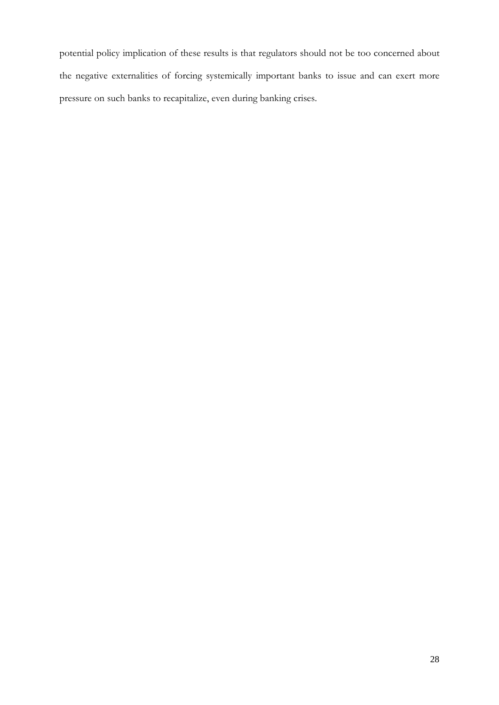potential policy implication of these results is that regulators should not be too concerned about the negative externalities of forcing systemically important banks to issue and can exert more pressure on such banks to recapitalize, even during banking crises.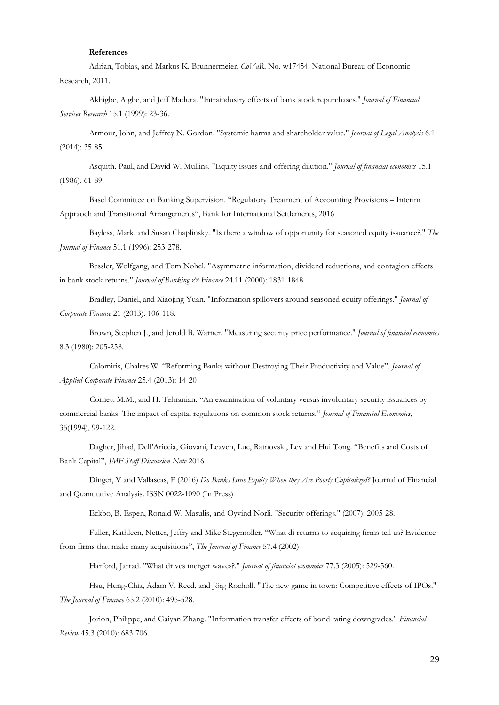#### **References**

Adrian, Tobias, and Markus K. Brunnermeier. *CoVaR*. No. w17454. National Bureau of Economic Research, 2011.

Akhigbe, Aigbe, and Jeff Madura. "Intraindustry effects of bank stock repurchases." *Journal of Financial Services Research* 15.1 (1999): 23-36.

Armour, John, and Jeffrey N. Gordon. "Systemic harms and shareholder value." *Journal of Legal Analysis* 6.1 (2014): 35-85.

Asquith, Paul, and David W. Mullins. "Equity issues and offering dilution." *Journal of financial economics* 15.1 (1986): 61-89.

Basel Committee on Banking Supervision. "Regulatory Treatment of Accounting Provisions – Interim Appraoch and Transitional Arrangements", Bank for International Settlements, 2016

Bayless, Mark, and Susan Chaplinsky. "Is there a window of opportunity for seasoned equity issuance?." *The Journal of Finance* 51.1 (1996): 253-278.

Bessler, Wolfgang, and Tom Nohel. "Asymmetric information, dividend reductions, and contagion effects in bank stock returns." *Journal of Banking & Finance* 24.11 (2000): 1831-1848.

Bradley, Daniel, and Xiaojing Yuan. "Information spillovers around seasoned equity offerings." *Journal of Corporate Finance* 21 (2013): 106-118.

Brown, Stephen J., and Jerold B. Warner. "Measuring security price performance." *Journal of financial economics* 8.3 (1980): 205-258.

Calomiris, Chalres W. "Reforming Banks without Destroying Their Productivity and Value". *Journal of Applied Corporate Finance* 25.4 (2013): 14-20

Cornett M.M., and H. Tehranian. "An examination of voluntary versus involuntary security issuances by commercial banks: The impact of capital regulations on common stock returns." *Journal of Financial Economics*, 35(1994), 99-122.

Dagher, Jihad, Dell'Ariccia, Giovani, Leaven, Luc, Ratnovski, Lev and Hui Tong. "Benefits and Costs of Bank Capital", *IMF Staff Discussion Note* 2016

Dinger, V and Vallascas, F (2016) *Do Banks Issue Equity When they Are Poorly Capitalized?* Journal of Financial and Quantitative Analysis. ISSN 0022-1090 (In Press)

Eckbo, B. Espen, Ronald W. Masulis, and Oyvind Norli. "Security offerings." (2007): 2005-28.

Fuller, Kathleen, Netter, Jeffry and Mike Stegemoller, "What di returns to acquiring firms tell us? Evidence from firms that make many acquisitions", *The Journal of Finance* 57.4 (2002)

Harford, Jarrad. "What drives merger waves?." *Journal of financial economics* 77.3 (2005): 529-560.

Hsu, Hung‐Chia, Adam V. Reed, and Jörg Rocholl. "The new game in town: Competitive effects of IPOs." *The Journal of Finance* 65.2 (2010): 495-528.

Jorion, Philippe, and Gaiyan Zhang. "Information transfer effects of bond rating downgrades." *Financial Review* 45.3 (2010): 683-706.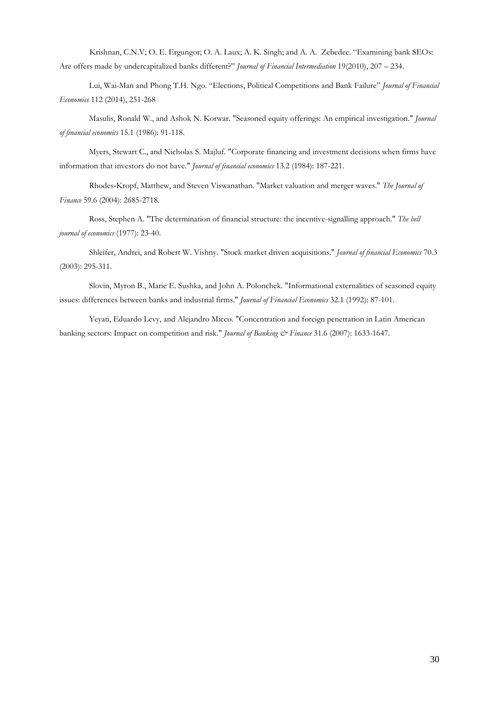Krishnan, C.N.V; O. E. Ergungor; O. A. Laux; A. K. Singh; and A. A. Zebedee. "Examining bank SEOs: Are offers made by undercapitalized banks different?" *Journal of Financial Intermediation* 19(2010), 207 – 234.

Lui, Wai-Man and Phong T.H. Ngo. "Elections, Political Competitions and Bank Failure" *Journal of Financial Economics* 112 (2014), 251-268

Masulis, Ronald W., and Ashok N. Korwar. "Seasoned equity offerings: An empirical investigation." *Journal of financial economics* 15.1 (1986): 91-118.

Myers, Stewart C., and Nicholas S. Majluf. "Corporate financing and investment decisions when firms have information that investors do not have." *Journal of financial economics* 13.2 (1984): 187-221.

Rhodes‐Kropf, Matthew, and Steven Viswanathan. "Market valuation and merger waves." *The Journal of Finance* 59.6 (2004): 2685-2718.

Ross, Stephen A. "The determination of financial structure: the incentive-signalling approach." *The bell journal of economics* (1977): 23-40.

Shleifer, Andrei, and Robert W. Vishny. "Stock market driven acquisitions." *Journal of financial Economics* 70.3 (2003): 295-311.

Slovin, Myron B., Marie E. Sushka, and John A. Polonchek. "Informational externalities of seasoned equity issues: differences between banks and industrial firms." *Journal of Financial Economics* 32.1 (1992): 87-101.

Yeyati, Eduardo Levy, and Alejandro Micco. "Concentration and foreign penetration in Latin American banking sectors: Impact on competition and risk." *Journal of Banking & Finance* 31.6 (2007): 1633-1647.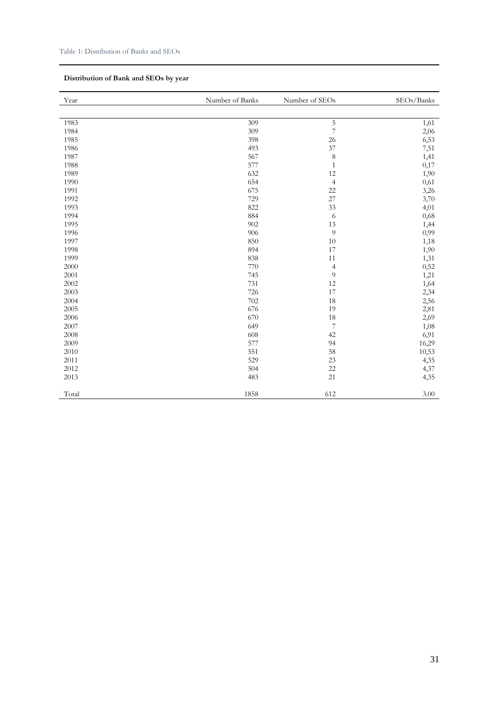## **Distribution of Bank and SEOs by year**

| Year  | Number of Banks | Number of SEOs           | SEOs/Banks |
|-------|-----------------|--------------------------|------------|
|       |                 |                          |            |
| 1983  | 309             | $\overline{5}$           | 1,61       |
| 1984  | 309             | $\overline{7}$           | 2,06       |
| 1985  | 398             | 26                       | 6,53       |
| 1986  | 493             | 37                       | 7,51       |
| 1987  | 567             | $\,$ 8 $\,$              | 1,41       |
| 1988  | 577             | $\,1\,$                  | 0,17       |
| 1989  | 632             | $12\,$                   | 1,90       |
| 1990  | 654             | $\overline{4}$           | 0,61       |
| 1991  | 675             | 22                       | 3,26       |
| 1992  | 729             | 27                       | 3,70       |
| 1993  | 822             | 33                       | 4,01       |
| 1994  | 884             | 6                        | 0,68       |
| 1995  | 902             | 13                       | 1,44       |
| 1996  | 906             | $\overline{9}$           | 0,99       |
| 1997  | 850             | 10                       | 1,18       |
| 1998  | 894             | 17                       | 1,90       |
| 1999  | 838             | $11\,$                   | 1,31       |
| 2000  | 770             | $\overline{4}$           | 0,52       |
| 2001  | 745             | $\boldsymbol{9}$         | 1,21       |
| 2002  | 731             | 12                       | 1,64       |
| 2003  | 726             | 17                       | 2,34       |
| 2004  | 702             | 18                       | 2,56       |
| 2005  | 676             | 19                       | 2,81       |
| 2006  | 670             | 18                       | 2,69       |
| 2007  | 649             | $\overline{\phantom{a}}$ | 1,08       |
| 2008  | 608             | 42                       | 6,91       |
| 2009  | 577             | 94                       | 16,29      |
| 2010  | 551             | 58                       | 10,53      |
| 2011  | 529             | 23                       | 4,35       |
| 2012  | 504             | $22\,$                   | 4,37       |
| 2013  | 483             | 21                       | 4,35       |
| Total | 1858            | 612                      | 3.00       |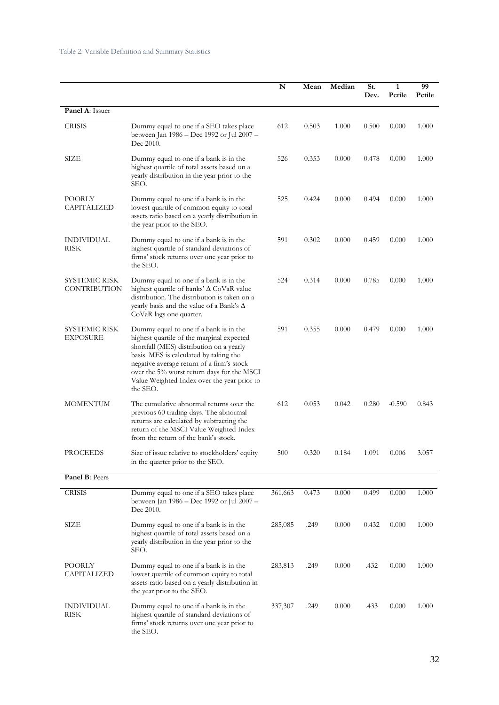|                                  |                                                                                                                                                                                                                                                                                                                                 | N       | Mean  | Median | St.<br>Dev. | 1<br>Pctile | 99<br>Pctile |
|----------------------------------|---------------------------------------------------------------------------------------------------------------------------------------------------------------------------------------------------------------------------------------------------------------------------------------------------------------------------------|---------|-------|--------|-------------|-------------|--------------|
| Panel A: Issuer                  |                                                                                                                                                                                                                                                                                                                                 |         |       |        |             |             |              |
| <b>CRISIS</b>                    | Dummy equal to one if a SEO takes place<br>between Jan 1986 – Dec 1992 or Jul 2007 –<br>Dec 2010.                                                                                                                                                                                                                               | 612     | 0.503 | 1.000  | 0.500       | 0.000       | 1.000        |
| SIZE                             | Dummy equal to one if a bank is in the<br>highest quartile of total assets based on a<br>yearly distribution in the year prior to the<br>SEO.                                                                                                                                                                                   | 526     | 0.353 | 0.000  | 0.478       | 0.000       | 1.000        |
| POORLY<br>CAPITALIZED            | Dummy equal to one if a bank is in the<br>lowest quartile of common equity to total<br>assets ratio based on a yearly distribution in<br>the year prior to the SEO.                                                                                                                                                             | 525     | 0.424 | 0.000  | 0.494       | 0.000       | 1.000        |
| INDIVIDUAL<br>RISK               | Dummy equal to one if a bank is in the<br>highest quartile of standard deviations of<br>firms' stock returns over one year prior to<br>the SEO.                                                                                                                                                                                 | 591     | 0.302 | 0.000  | 0.459       | 0.000       | 1.000        |
| SYSTEMIC RISK<br>CONTRIBUTION    | Dummy equal to one if a bank is in the<br>highest quartile of banks' $\Delta$ CoVaR value<br>distribution. The distribution is taken on a<br>yearly basis and the value of a Bank's $\Delta$<br>CoVaR lags one quarter.                                                                                                         | 524     | 0.314 | 0.000  | 0.785       | 0.000       | 1.000        |
| SYSTEMIC RISK<br><b>EXPOSURE</b> | Dummy equal to one if a bank is in the<br>highest quartile of the marginal expected<br>shortfall (MES) distribution on a yearly<br>basis. MES is calculated by taking the<br>negative average return of a firm's stock<br>over the 5% worst return days for the MSCI<br>Value Weighted Index over the year prior to<br>the SEO. | 591     | 0.355 | 0.000  | 0.479       | 0.000       | 1.000        |
| <b>MOMENTUM</b>                  | The cumulative abnormal returns over the<br>previous 60 trading days. The abnormal<br>returns are calculated by subtracting the<br>return of the MSCI Value Weighted Index<br>from the return of the bank's stock.                                                                                                              | 612     | 0.053 | 0.042  | 0.280       | $-0.590$    | 0.843        |
| <b>PROCEEDS</b>                  | Size of issue relative to stockholders' equity<br>in the quarter prior to the SEO.                                                                                                                                                                                                                                              | 500     | 0.320 | 0.184  | 1.091       | 0.006       | 3.057        |
| Panel B: Peers                   |                                                                                                                                                                                                                                                                                                                                 |         |       |        |             |             |              |
| <b>CRISIS</b>                    | Dummy equal to one if a SEO takes place<br>between Jan 1986 - Dec 1992 or Jul 2007 -<br>Dec 2010.                                                                                                                                                                                                                               | 361,663 | 0.473 | 0.000  | 0.499       | 0.000       | 1.000        |
| SIZE                             | Dummy equal to one if a bank is in the<br>highest quartile of total assets based on a<br>yearly distribution in the year prior to the<br>SEO.                                                                                                                                                                                   | 285,085 | .249  | 0.000  | 0.432       | 0.000       | 1.000        |
| <b>POORLY</b><br>CAPITALIZED     | Dummy equal to one if a bank is in the<br>lowest quartile of common equity to total<br>assets ratio based on a yearly distribution in<br>the year prior to the SEO.                                                                                                                                                             | 283,813 | .249  | 0.000  | .432        | 0.000       | 1.000        |
| <b>INDIVIDUAL</b><br>RISK        | Dummy equal to one if a bank is in the<br>highest quartile of standard deviations of<br>firms' stock returns over one year prior to<br>the SEO.                                                                                                                                                                                 | 337,307 | .249  | 0.000  | .433        | 0.000       | 1.000        |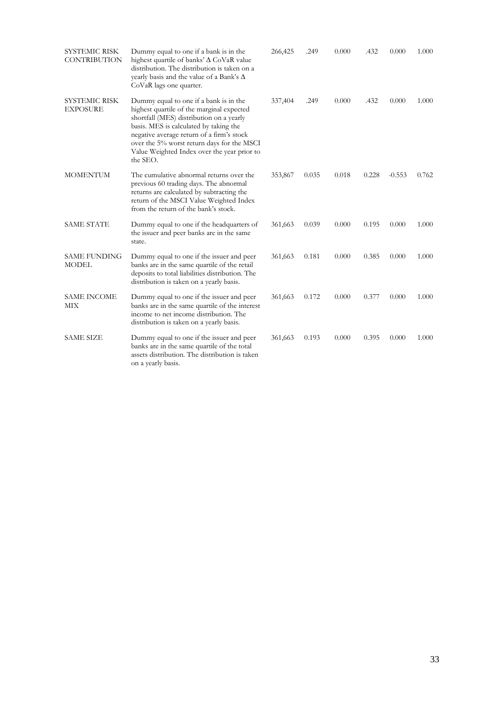| <b>SYSTEMIC RISK</b><br>CONTRIBUTION    | Dummy equal to one if a bank is in the<br>highest quartile of banks' $\Delta$ CoVaR value<br>distribution. The distribution is taken on a<br>yearly basis and the value of a Bank's $\Delta$<br>CoVaR lags one quarter.                                                                                                         | 266,425 | .249  | 0.000 | .432  | 0.000    | 1.000 |
|-----------------------------------------|---------------------------------------------------------------------------------------------------------------------------------------------------------------------------------------------------------------------------------------------------------------------------------------------------------------------------------|---------|-------|-------|-------|----------|-------|
| <b>SYSTEMIC RISK</b><br><b>EXPOSURE</b> | Dummy equal to one if a bank is in the<br>highest quartile of the marginal expected<br>shortfall (MES) distribution on a yearly<br>basis. MES is calculated by taking the<br>negative average return of a firm's stock<br>over the 5% worst return days for the MSCI<br>Value Weighted Index over the year prior to<br>the SEO. | 337,404 | .249  | 0.000 | .432  | 0.000    | 1.000 |
| <b>MOMENTUM</b>                         | The cumulative abnormal returns over the<br>previous 60 trading days. The abnormal<br>returns are calculated by subtracting the<br>return of the MSCI Value Weighted Index<br>from the return of the bank's stock.                                                                                                              | 353,867 | 0.035 | 0.018 | 0.228 | $-0.553$ | 0.762 |
| <b>SAME STATE</b>                       | Dummy equal to one if the headquarters of<br>the issuer and peer banks are in the same<br>state.                                                                                                                                                                                                                                | 361,663 | 0.039 | 0.000 | 0.195 | 0.000    | 1.000 |
| <b>SAME FUNDING</b><br><b>MODEL</b>     | Dummy equal to one if the issuer and peer<br>banks are in the same quartile of the retail<br>deposits to total liabilities distribution. The<br>distribution is taken on a yearly basis.                                                                                                                                        | 361,663 | 0.181 | 0.000 | 0.385 | 0.000    | 1.000 |
| <b>SAME INCOME</b><br>МIХ               | Dummy equal to one if the issuer and peer<br>banks are in the same quartile of the interest<br>income to net income distribution. The<br>distribution is taken on a yearly basis.                                                                                                                                               | 361,663 | 0.172 | 0.000 | 0.377 | 0.000    | 1.000 |
| <b>SAME SIZE</b>                        | Dummy equal to one if the issuer and peer<br>banks are in the same quartile of the total<br>assets distribution. The distribution is taken<br>on a yearly basis.                                                                                                                                                                | 361,663 | 0.193 | 0.000 | 0.395 | 0.000    | 1.000 |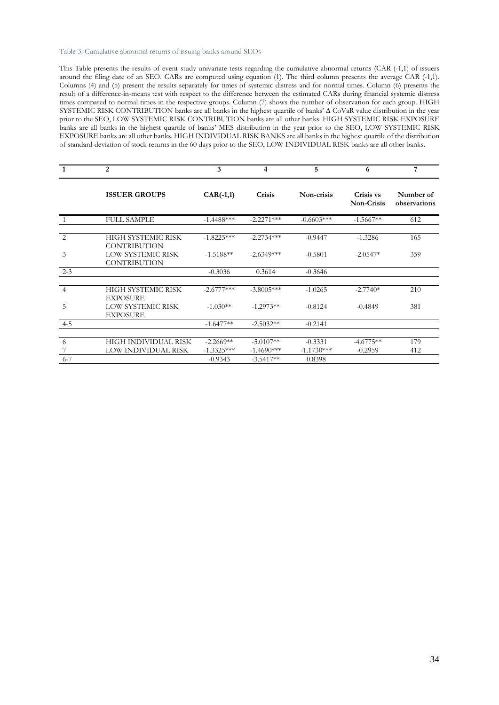#### Table 3: Cumulative abnormal returns of issuing banks around SEOs

This Table presents the results of event study univariate tests regarding the cumulative abnormal returns (CAR (-1,1) of issuers around the filing date of an SEO. CARs are computed using equation (1). The third column presents the average CAR (-1,1). Columns (4) and (5) present the results separately for times of systemic distress and for normal times. Column (6) presents the result of a difference-in-means test with respect to the difference between the estimated CARs during financial systemic distress times compared to normal times in the respective groups. Column (7) shows the number of observation for each group. HIGH SYSTEMIC RISK CONTRIBUTION banks are all banks in the highest quartile of banks' ∆ CoVaR value distribution in the year prior to the SEO, LOW SYSTEMIC RISK CONTRIBUTION banks are all other banks. HIGH SYSTEMIC RISK EXPOSURE banks are all banks in the highest quartile of banks' MES distribution in the year prior to the SEO, LOW SYSTEMIC RISK EXPOSURE banks are all other banks. HIGH INDIVIDUAL RISK BANKS are all banks in the highest quartile of the distribution of standard deviation of stock returns in the 60 days prior to the SEO, LOW INDIVIDUAL RISK banks are all other banks.

|                | 2                                               | 3                           | 4                           | 5                         | 6                              | 7                         |
|----------------|-------------------------------------------------|-----------------------------|-----------------------------|---------------------------|--------------------------------|---------------------------|
|                | <b>ISSUER GROUPS</b>                            | $CAR(-1,1)$                 | Crisis                      | Non-crisis                | Crisis vs<br><b>Non-Crisis</b> | Number of<br>observations |
|                | <b>FULL SAMPLE</b>                              | $-1.4488***$                | $-2.2271***$                | $-0.6603***$              | $-1.5667**$                    | 612                       |
| $\mathcal{L}$  | HIGH SYSTEMIC RISK<br><b>CONTRIBUTION</b>       | $-1.8225***$                | $-2.2734***$                | $-0.9447$                 | $-1.3286$                      | 165                       |
| 3              | <b>LOW SYSTEMIC RISK</b><br><b>CONTRIBUTION</b> | $-1.5188**$                 | $-2.6349***$                | $-0.5801$                 | $-2.0547*$                     | 359                       |
| $2 - 3$        |                                                 | $-0.3036$                   | 0.3614                      | $-0.3646$                 |                                |                           |
| $\overline{4}$ | HIGH SYSTEMIC RISK<br><b>EXPOSURE</b>           | $-2.6777***$                | $-3.8005***$                | $-1.0265$                 | $-2.7740*$                     | 210                       |
| 5              | <b>LOW SYSTEMIC RISK</b><br><b>EXPOSURE</b>     | $-1.030**$                  | $-1.2973**$                 | $-0.8124$                 | $-0.4849$                      | 381                       |
| $4 - 5$        |                                                 | $-1.6477**$                 | $-2.5032**$                 | $-0.2141$                 |                                |                           |
| 6              | HIGH INDIVIDUAL RISK<br>LOW INDIVIDUAL RISK     | $-2.2669**$<br>$-1.3325***$ | $-5.0107**$<br>$-1.4690***$ | $-0.3331$<br>$-1.1730***$ | $-4.6775**$<br>$-0.2959$       | 179<br>412                |
| $6 - 7$        |                                                 | $-0.9343$                   | $-3.5417**$                 | 0.8398                    |                                |                           |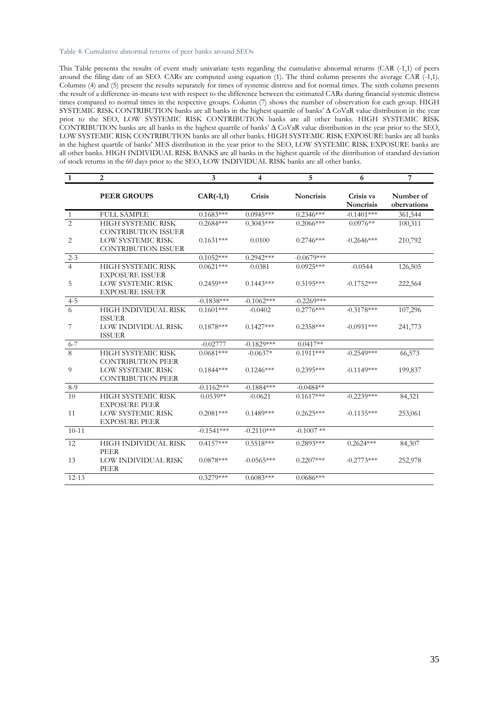#### Table 4: Cumulative abnormal returns of peer banks around SEOs

This Table presents the results of event study univariate tests regarding the cumulative abnormal returns (CAR (-1,1) of peers around the filing date of an SEO. CARs are computed using equation (1). The third column presents the average CAR (-1,1). Columns (4) and (5) present the results separately for times of systemic distress and for normal times. The sixth column presents the result of a difference-in-means test with respect to the difference between the estimated CARs during financial systemic distress times compared to normal times in the respective groups. Column (7) shows the number of observation for each group. HIGH SYSTEMIC RISK CONTRIBUTION banks are all banks in the highest quartile of banks' ∆ CoVaR value distribution in the year prior to the SEO, LOW SYSTEMIC RISK CONTRIBUTION banks are all other banks. HIGH SYSTEMIC RISK CONTRIBUTION banks are all banks in the highest quartile of banks' ∆ CoVaR value distribution in the year prior to the SEO, LOW SYSTEMIC RISK CONTRIBUTION banks are all other banks. HIGH SYSTEMIC RISK EXPOSURE banks are all banks in the highest quartile of banks' MES distribution in the year prior to the SEO, LOW SYSTEMIC RISK EXPOSURE banks are all other banks. HIGH INDIVIDUAL RISK BANKS are all banks in the highest quartile of the distribution of standard deviation of stock returns in the 60 days prior to the SEO, LOW INDIVIDUAL RISK banks are all other banks.

| $\mathbf{1}$   | $\overline{2}$                                         | 3            | $\overline{\mathbf{4}}$ | 5                | 6                      | 7                        |
|----------------|--------------------------------------------------------|--------------|-------------------------|------------------|------------------------|--------------------------|
|                | <b>PEER GROUPS</b>                                     | $CAR(-1,1)$  | Crisis                  | <b>Noncrisis</b> | Crisis vs<br>Noncrisis | Number of<br>obervations |
| 1              | <b>FULL SAMPLE</b>                                     | $0.1683***$  | $0.0945***$             | $0.2346***$      | $-0.1401***$           | 361,544                  |
| $\overline{2}$ | HIGH SYSTEMIC RISK<br>CONTRIBUTION ISSUER              | $0.2684***$  | $0.3043***$             | $0.2066***$      | $0.0976**$             | 100,311                  |
| 2              | <b>LOW SYSTEMIC RISK</b><br><b>CONTRIBUTION ISSUER</b> | $0.1631***$  | 0.0100                  | $0.2746***$      | $-0.2646***$           | 210,792                  |
| $2 - 3$        |                                                        | $0.1052***$  | $0.2942***$             | $-0.0679***$     |                        |                          |
| $\overline{4}$ | HIGH SYSTEMIC RISK<br><b>EXPOSURE ISSUER</b>           | $0.0621***$  | 0.0381                  | $0.0925***$      | $-0.0544$              | 126,505                  |
| 5              | <b>LOW SYSTEMIC RISK</b><br><b>EXPOSURE ISSUER</b>     | $0.2459***$  | $0.1443***$             | $0.3195***$      | $-0.1752***$           | 222,564                  |
| $4 - 5$        |                                                        | $-0.1838***$ | $-0.1062***$            | $-0.2269***$     |                        |                          |
| 6              | HIGH INDIVIDUAL RISK<br><b>ISSUER</b>                  | $0.1601***$  | $-0.0402$               | $0.2776***$      | $-0.3178***$           | 107,296                  |
| 7              | LOW INDIVIDUAL RISK<br><b>ISSUER</b>                   | $0.1878***$  | $0.1427***$             | $0.2358***$      | $-0.0931***$           | 241,773                  |
| $6 - 7$        |                                                        | $-0.02777$   | $-0.1829***$            | $0.0417**$       |                        |                          |
| $8\phantom{.}$ | HIGH SYSTEMIC RISK<br><b>CONTRIBUTION PEER</b>         | $0.0681***$  | $-0.0637*$              | $0.1911***$      | $-0.2549***$           | 66,573                   |
| 9              | <b>LOW SYSTEMIC RISK</b><br><b>CONTRIBUTION PEER</b>   | $0.1844***$  | $0.1246***$             | $0.2395***$      | $-0.1149***$           | 199,837                  |
| $8-9$          |                                                        | $-0.1162***$ | $-0.1884***$            | $-0.0484**$      |                        |                          |
| 10             | HIGH SYSTEMIC RISK<br><b>EXPOSURE PEER</b>             | $0.0539**$   | $-0.0621$               | $0.1617***$      | $-0.2239***$           | 84,321                   |
| 11             | <b>LOW SYSTEMIC RISK</b><br><b>EXPOSURE PEER</b>       | $0.2081***$  | $0.1489***$             | $0.2625***$      | $-0.1135***$           | 253,061                  |
| $10 - 11$      |                                                        | $-0.1541***$ | $-0.2110***$            | $-0.1007$ **     |                        |                          |
| 12             | HIGH INDIVIDUAL RISK<br>PEER                           | $0.4157***$  | $0.5518***$             | $0.2893***$      | $0.2624***$            | 84,307                   |
| 13             | LOW INDIVIDUAL RISK<br>PEER                            | $0.0878***$  | $-0.0565***$            | $0.2207***$      | $-0.2773***$           | 252,978                  |
| $12 - 13$      |                                                        | $0.3279***$  | $0.6083***$             | $0.0686***$      |                        |                          |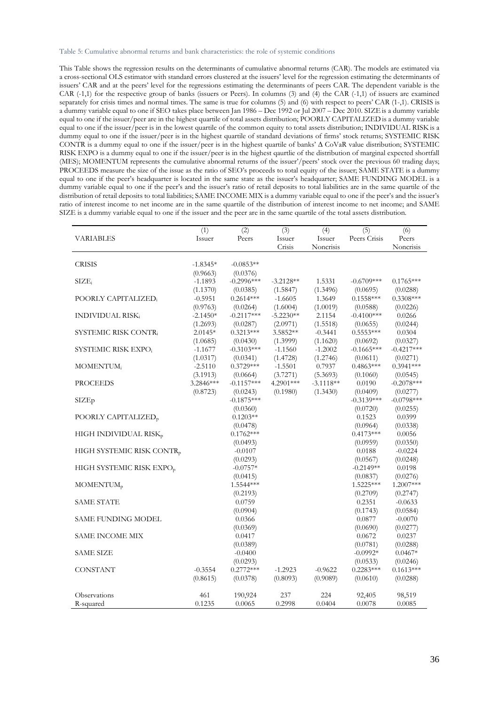Table 5: Cumulative abnormal returns and bank characteristics: the role of systemic conditions

This Table shows the regression results on the determinants of cumulative abnormal returns (CAR). The models are estimated via a cross-sectional OLS estimator with standard errors clustered at the issuers' level for the regression estimating the determinants of issuers' CAR and at the peers' level for the regressions estimating the determinants of peers CAR. The dependent variable is the CAR (-1,1) for the respective group of banks (issuers or Peers). In columns (3) and (4) the CAR (-1,1) of issuers are examined separately for crisis times and normal times. The same is true for columns (5) and (6) with respect to peers' CAR (1-,1). CRISIS is a dummy variable equal to one if SEO takes place between Jan 1986 – Dec 1992 or Jul 2007 – Dec 2010. SIZEis a dummy variable equal to one if the issuer/peer are in the highest quartile of total assets distribution; POORLY CAPITALIZED is a dummy variable equal to one if the issuer/peer is in the lowest quartile of the common equity to total assets distribution; INDIVIDUAL RISK is a dummy equal to one if the issuer/peer is in the highest quartile of standard deviations of firms' stock returns; SYSTEMIC RISK CONTR is a dummy equal to one if the issuer/peer is in the highest quartile of banks' ∆ CoVaR value distribution; SYSTEMIC RISK EXPO is a dummy equal to one if the issuer/peer is in the highest qaurtlie of the distribution of marginal expected shortfall (MES); MOMENTUM represents the cumulative abnormal returns of the issuer'/peers' stock over the previous 60 trading days; PROCEEDS measure the size of the issue as the ratio of SEO's proceeds to total equity of the issuer; SAME STATE is a dummy equal to one if the peer's headquarter is located in the same state as the issuer's headquarter; SAME FUNDING MODEL is a dummy variable equal to one if the peer's and the issuer's ratio of retail deposits to total liabilities are in the same quartile of the distribution of retail deposits to total liabilities; SAME INCOME MIX is a dummy variable equal to one if the peer's and the issuer's ratio of interest income to net income are in the same quartile of the distribution of interest income to net income; and SAME SIZE is a dummy variable equal to one if the issuer and the peer are in the same quartile of the total assets distribution.

|                                       | (1)        | (2)                    | (3)         | (4)         | (5)                   | (6)                   |
|---------------------------------------|------------|------------------------|-------------|-------------|-----------------------|-----------------------|
| <b>VARIABLES</b>                      | Issuer     | Peers                  | Issuer      | Issuer      | Peers Crisis          | Peers                 |
|                                       |            |                        | Crisis      | Noncrisis   |                       | Noncrisis             |
|                                       |            |                        |             |             |                       |                       |
| <b>CRISIS</b>                         | $-1.8345*$ | $-0.0853**$            |             |             |                       |                       |
|                                       | (0.9663)   | (0.0376)               |             |             |                       |                       |
| $\text{SIZE}_i$                       | $-1.1893$  | $-0.2996***$           | $-3.2128**$ | 1.5331      | $-0.6709***$          | $0.1765***$           |
|                                       | (1.1370)   | (0.0385)               | (1.5847)    | (1.3496)    | (0.0695)              | (0.0288)              |
| POORLY CAPITALIZED;                   | $-0.5951$  | $0.2614***$            | $-1.6605$   | 1.3649      | $0.1558***$           | $0.3308***$           |
|                                       | (0.9763)   | (0.0264)               | (1.6004)    | (1.0019)    | (0.0588)              | (0.0226)              |
| <b>INDIVIDUAL RISK:</b>               | $-2.1450*$ | $-0.2117***$           | $-5.2230**$ | 2.1154      | $-0.4100***$          | 0.0266                |
|                                       | (1.2693)   | (0.0287)               | (2.0971)    | (1.5518)    | (0.0655)              | (0.0244)              |
| SYSTEMIC RISK CONTR.                  | $2.0145*$  | $0.3213***$            | 3.5852**    | $-0.3441$   | $0.5553***$           | 0.0304                |
|                                       | (1.0685)   | (0.0430)               | (1.3999)    | (1.1620)    | (0.0692)              | (0.0327)              |
| SYSTEMIC RISK EXPO;                   | $-1.1677$  | $-0.3103***$           | $-1.1560$   | $-1.2002$   | $-0.1665***$          | $-0.4217***$          |
|                                       | (1.0317)   | (0.0341)               | (1.4728)    | (1.2746)    | (0.0611)              | (0.0271)              |
| MOMENTUM;                             | $-2.5110$  | $0.3729***$            | $-1.5501$   | 0.7937      | $0.4863***$           | $0.3941***$           |
|                                       | (3.1913)   | (0.0664)               | (3.7271)    | (5.3693)    | (0.1060)              | (0.0545)              |
| <b>PROCEEDS</b>                       | 3.2846***  | $-0.1157***$           | 4.2901***   | $-3.1118**$ | 0.0190                | $-0.2078***$          |
|                                       | (0.8723)   | (0.0243)               | (0.1980)    | (1.3430)    | (0.0409)              | (0.0277)              |
| SIZEp                                 |            | $-0.1875***$           |             |             | $-0.3139***$          | $-0.0798***$          |
|                                       |            | (0.0360)               |             |             | (0.0720)              | (0.0255)              |
| POORLY CAPITALIZED <sub>p</sub>       |            | $0.1203**$             |             |             | 0.1523                | 0.0399                |
|                                       |            | (0.0478)               |             |             | (0.0964)              | (0.0338)              |
| HIGH INDIVIDUAL RISK <sub>p</sub>     |            | $0.1762***$            |             |             | $0.4173***$           | 0.0056                |
|                                       |            | (0.0493)               |             |             | (0.0959)              | (0.0350)              |
| HIGH SYSTEMIC RISK CONTR <sub>p</sub> |            | $-0.0107$              |             |             | 0.0188                | $-0.0224$             |
|                                       |            | (0.0293)               |             |             | (0.0567)              | (0.0248)              |
| HIGH SYSTEMIC RISK EXPO <sub>p</sub>  |            | $-0.0757*$             |             |             | $-0.2149**$           | 0.0198                |
|                                       |            | (0.0415)<br>1.5544 *** |             |             | (0.0837)<br>1.5225*** | (0.0276)<br>1.2007*** |
| MOMENTUM <sub>p</sub>                 |            |                        |             |             |                       |                       |
| <b>SAME STATE</b>                     |            | (0.2193)<br>0.0759     |             |             | (0.2709)<br>0.2351    | (0.2747)<br>$-0.0633$ |
|                                       |            | (0.0904)               |             |             |                       |                       |
| SAME FUNDING MODEL                    |            | 0.0366                 |             |             | (0.1743)<br>0.0877    | (0.0584)<br>$-0.0070$ |
|                                       |            | (0.0369)               |             |             | (0.0690)              | (0.0277)              |
| SAME INCOME MIX                       |            | 0.0417                 |             |             | 0.0672                | 0.0237                |
|                                       |            | (0.0389)               |             |             | (0.0781)              | (0.0288)              |
| SAME SIZE                             |            | $-0.0400$              |             |             | $-0.0992*$            | $0.0467*$             |
|                                       |            | (0.0293)               |             |             | (0.0533)              | (0.0246)              |
| <b>CONSTANT</b>                       | $-0.3554$  | $0.2772***$            | $-1.2923$   | $-0.9622$   | $0.2283***$           | $0.1613***$           |
|                                       | (0.8615)   | (0.0378)               | (0.8093)    | (0.9089)    | (0.0610)              | (0.0288)              |
|                                       |            |                        |             |             |                       |                       |
| Observations                          | 461        | 190,924                | 237         | 224         | 92,405                | 98,519                |
| R-squared                             | 0.1235     | 0.0065                 | 0.2998      | 0.0404      | 0.0078                | 0.0085                |